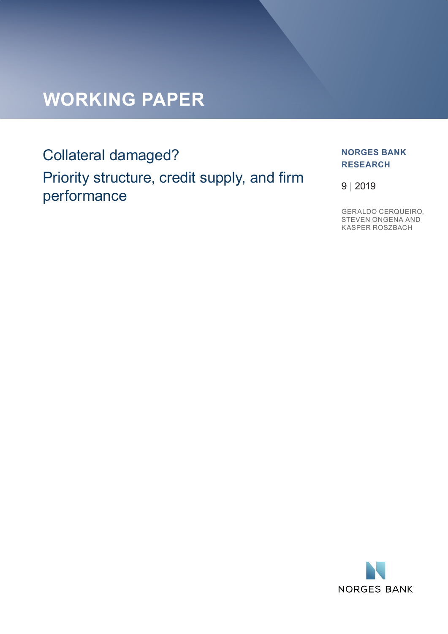# **WORKING PAPER**

## Collateral damaged?

Priority structure, credit supply, and firm performance

## **NORGES BANK RESEARCH**

9 | 2019

GERALDO CERQUEIRO, STEVEN ONGENA AND KASPER ROSZBACH

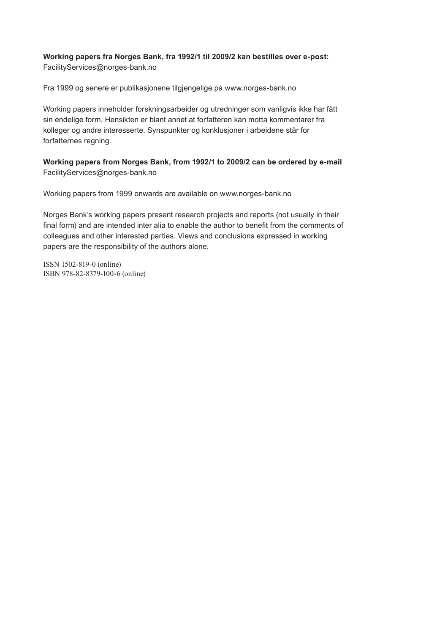## **Working papers fra Norges Bank, fra 1992/1 til 2009/2 kan bestilles over e-post:**

FacilityServices@norges-bank.no

Fra 1999 og senere er publikasjonene tilgjengelige på www.norges-bank.no

Working papers inneholder forskningsarbeider og utredninger som vanligvis ikke har fått sin endelige form. Hensikten er blant annet at forfatteren kan motta kommentarer fra kolleger og andre interesserte. Synspunkter og konklusjoner i arbeidene står for forfatternes regning.

**Working papers from Norges Bank, from 1992/1 to 2009/2 can be ordered by e-mail:** FacilityServices@norges-bank.no

Working papers from 1999 onwards are available on www.norges-bank.no

Norges Bank's working papers present research projects and reports (not usually in their final form) and are intended inter alia to enable the author to benefit from the comments of colleagues and other interested parties. Views and conclusions expressed in working papers are the responsibility of the authors alone.

ISSN 1502-819-0 (online) ISBN 978-82-8379-100-6 (online)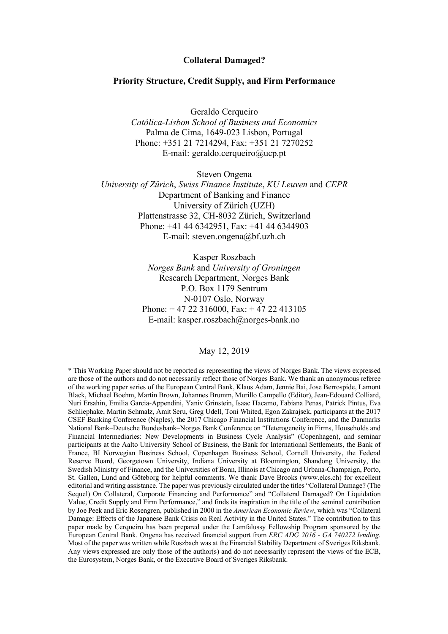#### **Collateral Damaged?**

## **Priority Structure, Credit Supply, and Firm Performance**

Geraldo Cerqueiro

*Católica-Lisbon School of Business and Economics* Palma de Cima, 1649-023 Lisbon, Portugal Phone: +351 21 7214294, Fax: +351 21 7270252 E-mail: geraldo.cerqueiro@ucp.pt

Steven Ongena *University of Zürich*, *Swiss Finance Institute*, *KU Leuven* and *CEPR* Department of Banking and Finance University of Zürich (UZH) Plattenstrasse 32, CH-8032 Zürich, Switzerland Phone: +41 44 6342951, Fax: +41 44 6344903 E-mail: steven.ongena@bf.uzh.ch

> Kasper Roszbach *Norges Bank* and *University of Groningen* Research Department, Norges Bank P.O. Box 1179 Sentrum N-0107 Oslo, Norway Phone: + 47 22 316000, Fax: + 47 22 413105 E-mail: kasper.roszbach@norges-bank.no

#### May 12, 2019

\* This Working Paper should not be reported as representing the views of Norges Bank. The views expressed are those of the authors and do not necessarily reflect those of Norges Bank. We thank an anonymous referee of the working paper series of the European Central Bank, Klaus Adam, Jennie Bai, Jose Berrospide, Lamont Black, Michael Boehm, Martin Brown, Johannes Brumm, Murillo Campello (Editor), Jean-Edouard Colliard, Nuri Ersahin, Emilia Garcia-Appendini, Yaniv Grinstein, Isaac Hacamo, Fabiana Penas, Patrick Pintus, Eva Schliephake, Martin Schmalz, Amit Seru, Greg Udell, Toni Whited, Egon Zakrajsek, participants at the 2017 CSEF Banking Conference (Naples), the 2017 Chicago Financial Institutions Conference, and the Danmarks National Bank–Deutsche Bundesbank–Norges Bank Conference on "Heterogeneity in Firms, Households and Financial Intermediaries: New Developments in Business Cycle Analysis" (Copenhagen), and seminar participants at the Aalto University School of Business, the Bank for International Settlements, the Bank of France, BI Norwegian Business School, Copenhagen Business School, Cornell University, the Federal Reserve Board, Georgetown University, Indiana University at Bloomington, Shandong University, the Swedish Ministry of Finance, and the Universities of Bonn, Illinois at Chicago and Urbana-Champaign, Porto, St. Gallen, Lund and Göteborg for helpful comments. We thank Dave Brooks (www.elcs.ch) for excellent editorial and writing assistance. The paper was previously circulated under the titles "Collateral Damage? (The Sequel) On Collateral, Corporate Financing and Performance" and "Collateral Damaged? On Liquidation Value, Credit Supply and Firm Performance," and finds its inspiration in the title of the seminal contribution by Joe Peek and Eric Rosengren, published in 2000 in the *American Economic Review*, which was "Collateral Damage: Effects of the Japanese Bank Crisis on Real Activity in the United States." The contribution to this paper made by Cerqueiro has been prepared under the Lamfalussy Fellowship Program sponsored by the European Central Bank. Ongena has received financial support from *ERC ADG 2016 - GA 740272 lending*. Most of the paper was written while Roszbach was at the Financial Stability Department of Sveriges Riksbank. Any views expressed are only those of the author(s) and do not necessarily represent the views of the ECB, the Eurosystem, Norges Bank, or the Executive Board of Sveriges Riksbank.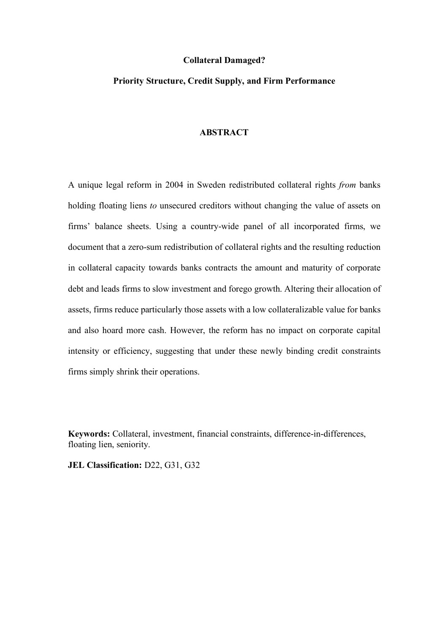#### **Collateral Damaged?**

#### **Priority Structure, Credit Supply, and Firm Performance**

#### **ABSTRACT**

A unique legal reform in 2004 in Sweden redistributed collateral rights *from* banks holding floating liens *to* unsecured creditors without changing the value of assets on firms' balance sheets. Using a country-wide panel of all incorporated firms, we document that a zero-sum redistribution of collateral rights and the resulting reduction in collateral capacity towards banks contracts the amount and maturity of corporate debt and leads firms to slow investment and forego growth. Altering their allocation of assets, firms reduce particularly those assets with a low collateralizable value for banks and also hoard more cash. However, the reform has no impact on corporate capital intensity or efficiency, suggesting that under these newly binding credit constraints firms simply shrink their operations.

**Keywords:** Collateral, investment, financial constraints, difference-in-differences, floating lien, seniority.

**JEL Classification:** D22, G31, G32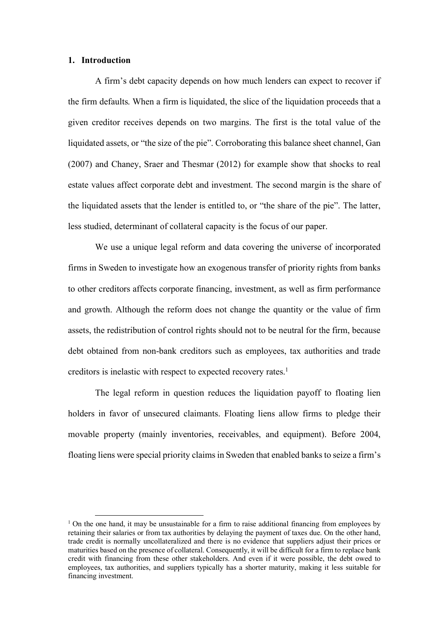#### **1. Introduction**

A firm's debt capacity depends on how much lenders can expect to recover if the firm defaults. When a firm is liquidated, the slice of the liquidation proceeds that a given creditor receives depends on two margins. The first is the total value of the liquidated assets, or "the size of the pie". Corroborating this balance sheet channel, Gan (2007) and Chaney, Sraer and Thesmar (2012) for example show that shocks to real estate values affect corporate debt and investment. The second margin is the share of the liquidated assets that the lender is entitled to, or "the share of the pie". The latter, less studied, determinant of collateral capacity is the focus of our paper.

We use a unique legal reform and data covering the universe of incorporated firms in Sweden to investigate how an exogenous transfer of priority rights from banks to other creditors affects corporate financing, investment, as well as firm performance and growth. Although the reform does not change the quantity or the value of firm assets, the redistribution of control rights should not to be neutral for the firm, because debt obtained from non-bank creditors such as employees, tax authorities and trade creditors is inelastic with respect to expected recovery rates.<sup>1</sup>

The legal reform in question reduces the liquidation payoff to floating lien holders in favor of unsecured claimants. Floating liens allow firms to pledge their movable property (mainly inventories, receivables, and equipment). Before 2004, floating liens were special priority claims in Sweden that enabled banks to seize a firm's

 $1$  On the one hand, it may be unsustainable for a firm to raise additional financing from employees by retaining their salaries or from tax authorities by delaying the payment of taxes due. On the other hand, trade credit is normally uncollateralized and there is no evidence that suppliers adjust their prices or maturities based on the presence of collateral. Consequently, it will be difficult for a firm to replace bank credit with financing from these other stakeholders. And even if it were possible, the debt owed to employees, tax authorities, and suppliers typically has a shorter maturity, making it less suitable for financing investment.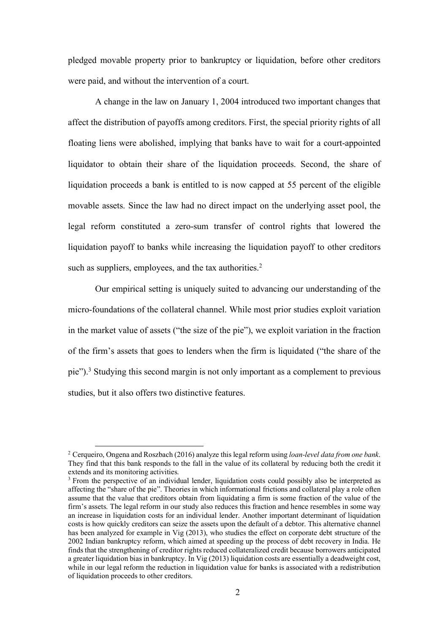pledged movable property prior to bankruptcy or liquidation, before other creditors were paid, and without the intervention of a court.

A change in the law on January 1, 2004 introduced two important changes that affect the distribution of payoffs among creditors. First, the special priority rights of all floating liens were abolished, implying that banks have to wait for a court-appointed liquidator to obtain their share of the liquidation proceeds. Second, the share of liquidation proceeds a bank is entitled to is now capped at 55 percent of the eligible movable assets. Since the law had no direct impact on the underlying asset pool, the legal reform constituted a zero-sum transfer of control rights that lowered the liquidation payoff to banks while increasing the liquidation payoff to other creditors such as suppliers, employees, and the tax authorities.<sup>2</sup>

Our empirical setting is uniquely suited to advancing our understanding of the micro-foundations of the collateral channel. While most prior studies exploit variation in the market value of assets ("the size of the pie"), we exploit variation in the fraction of the firm's assets that goes to lenders when the firm is liquidated ("the share of the pie").3 Studying this second margin is not only important as a complement to previous studies, but it also offers two distinctive features.

 <sup>2</sup> Cerqueiro, Ongena and Roszbach (2016) analyze this legal reform using *loan-level data from one bank*. They find that this bank responds to the fall in the value of its collateral by reducing both the credit it extends and its monitoring activities.

<sup>&</sup>lt;sup>3</sup> From the perspective of an individual lender, liquidation costs could possibly also be interpreted as affecting the "share of the pie". Theories in which informational frictions and collateral play a role often assume that the value that creditors obtain from liquidating a firm is some fraction of the value of the firm's assets. The legal reform in our study also reduces this fraction and hence resembles in some way an increase in liquidation costs for an individual lender. Another important determinant of liquidation costs is how quickly creditors can seize the assets upon the default of a debtor. This alternative channel has been analyzed for example in Vig (2013), who studies the effect on corporate debt structure of the 2002 Indian bankruptcy reform, which aimed at speeding up the process of debt recovery in India. He finds that the strengthening of creditor rights reduced collateralized credit because borrowers anticipated a greater liquidation bias in bankruptcy. In Vig (2013) liquidation costs are essentially a deadweight cost, while in our legal reform the reduction in liquidation value for banks is associated with a redistribution of liquidation proceeds to other creditors.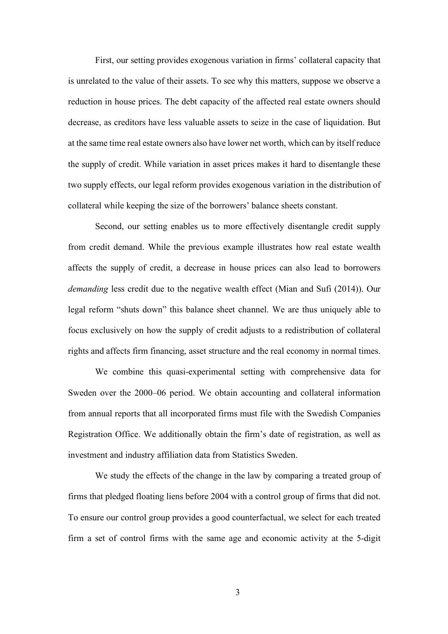First, our setting provides exogenous variation in firms' collateral capacity that is unrelated to the value of their assets. To see why this matters, suppose we observe a reduction in house prices. The debt capacity of the affected real estate owners should decrease, as creditors have less valuable assets to seize in the case of liquidation. But at the same time real estate owners also have lower net worth, which can by itself reduce the supply of credit. While variation in asset prices makes it hard to disentangle these two supply effects, our legal reform provides exogenous variation in the distribution of collateral while keeping the size of the borrowers' balance sheets constant.

Second, our setting enables us to more effectively disentangle credit supply from credit demand. While the previous example illustrates how real estate wealth affects the supply of credit, a decrease in house prices can also lead to borrowers *demanding* less credit due to the negative wealth effect (Mian and Sufi (2014)). Our legal reform "shuts down" this balance sheet channel. We are thus uniquely able to focus exclusively on how the supply of credit adjusts to a redistribution of collateral rights and affects firm financing, asset structure and the real economy in normal times.

We combine this quasi-experimental setting with comprehensive data for Sweden over the 2000–06 period. We obtain accounting and collateral information from annual reports that all incorporated firms must file with the Swedish Companies Registration Office. We additionally obtain the firm's date of registration, as well as investment and industry affiliation data from Statistics Sweden.

We study the effects of the change in the law by comparing a treated group of firms that pledged floating liens before 2004 with a control group of firms that did not. To ensure our control group provides a good counterfactual, we select for each treated firm a set of control firms with the same age and economic activity at the 5-digit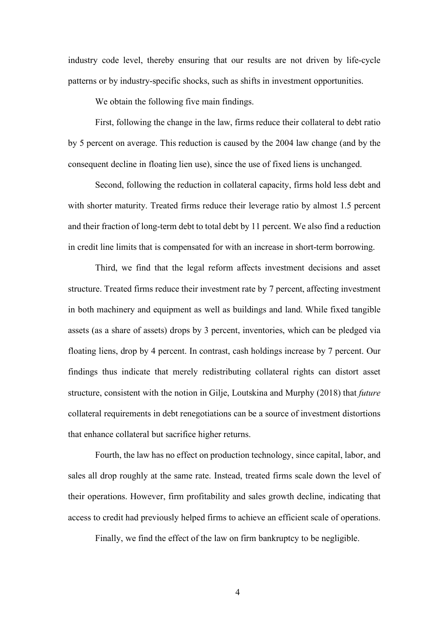industry code level, thereby ensuring that our results are not driven by life-cycle patterns or by industry-specific shocks, such as shifts in investment opportunities.

We obtain the following five main findings.

First, following the change in the law, firms reduce their collateral to debt ratio by 5 percent on average. This reduction is caused by the 2004 law change (and by the consequent decline in floating lien use), since the use of fixed liens is unchanged.

Second, following the reduction in collateral capacity, firms hold less debt and with shorter maturity. Treated firms reduce their leverage ratio by almost 1.5 percent and their fraction of long-term debt to total debt by 11 percent. We also find a reduction in credit line limits that is compensated for with an increase in short-term borrowing.

Third, we find that the legal reform affects investment decisions and asset structure. Treated firms reduce their investment rate by 7 percent, affecting investment in both machinery and equipment as well as buildings and land. While fixed tangible assets (as a share of assets) drops by 3 percent, inventories, which can be pledged via floating liens, drop by 4 percent. In contrast, cash holdings increase by 7 percent. Our findings thus indicate that merely redistributing collateral rights can distort asset structure, consistent with the notion in Gilje, Loutskina and Murphy (2018) that *future* collateral requirements in debt renegotiations can be a source of investment distortions that enhance collateral but sacrifice higher returns.

Fourth, the law has no effect on production technology, since capital, labor, and sales all drop roughly at the same rate. Instead, treated firms scale down the level of their operations. However, firm profitability and sales growth decline, indicating that access to credit had previously helped firms to achieve an efficient scale of operations.

Finally, we find the effect of the law on firm bankruptcy to be negligible.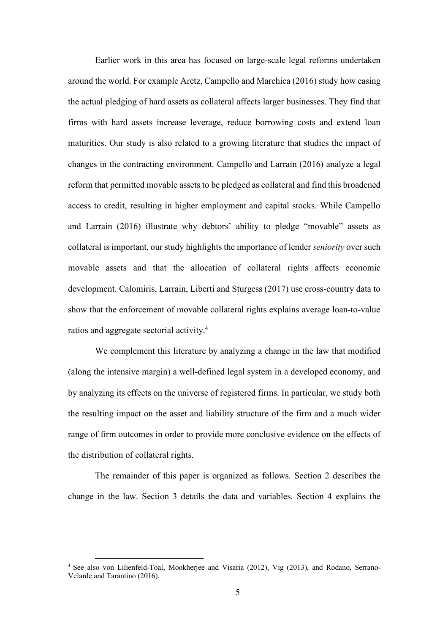Earlier work in this area has focused on large-scale legal reforms undertaken around the world. For example Aretz, Campello and Marchica (2016) study how easing the actual pledging of hard assets as collateral affects larger businesses. They find that firms with hard assets increase leverage, reduce borrowing costs and extend loan maturities. Our study is also related to a growing literature that studies the impact of changes in the contracting environment. Campello and Larrain (2016) analyze a legal reform that permitted movable assets to be pledged as collateral and find this broadened access to credit, resulting in higher employment and capital stocks. While Campello and Larrain (2016) illustrate why debtors' ability to pledge "movable" assets as collateral is important, our study highlights the importance of lender *seniority* over such movable assets and that the allocation of collateral rights affects economic development. Calomiris, Larrain, Liberti and Sturgess (2017) use cross-country data to show that the enforcement of movable collateral rights explains average loan-to-value ratios and aggregate sectorial activity.4

We complement this literature by analyzing a change in the law that modified (along the intensive margin) a well-defined legal system in a developed economy, and by analyzing its effects on the universe of registered firms. In particular, we study both the resulting impact on the asset and liability structure of the firm and a much wider range of firm outcomes in order to provide more conclusive evidence on the effects of the distribution of collateral rights.

The remainder of this paper is organized as follows. Section 2 describes the change in the law. Section 3 details the data and variables. Section 4 explains the

 <sup>4</sup> See also von Lilienfeld-Toal, Mookherjee and Visaria (2012), Vig (2013), and Rodano, Serrano-Velarde and Tarantino (2016).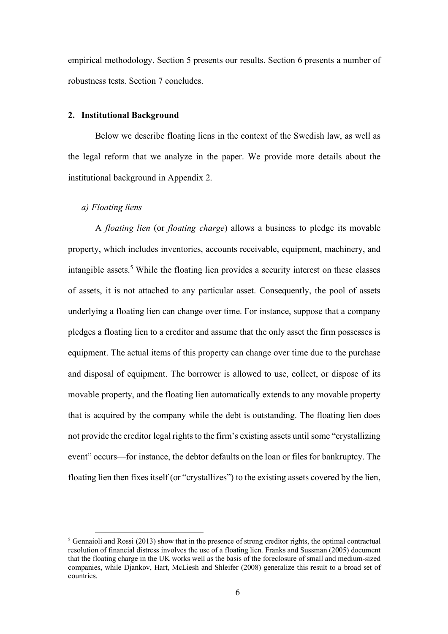empirical methodology. Section 5 presents our results. Section 6 presents a number of robustness tests. Section 7 concludes.

#### **2. Institutional Background**

Below we describe floating liens in the context of the Swedish law, as well as the legal reform that we analyze in the paper. We provide more details about the institutional background in Appendix 2.

#### *a) Floating liens*

A *floating lien* (or *floating charge*) allows a business to pledge its movable property, which includes inventories, accounts receivable, equipment, machinery, and intangible assets.<sup>5</sup> While the floating lien provides a security interest on these classes of assets, it is not attached to any particular asset. Consequently, the pool of assets underlying a floating lien can change over time. For instance, suppose that a company pledges a floating lien to a creditor and assume that the only asset the firm possesses is equipment. The actual items of this property can change over time due to the purchase and disposal of equipment. The borrower is allowed to use, collect, or dispose of its movable property, and the floating lien automatically extends to any movable property that is acquired by the company while the debt is outstanding. The floating lien does not provide the creditor legal rights to the firm's existing assets until some "crystallizing event" occurs—for instance, the debtor defaults on the loan or files for bankruptcy. The floating lien then fixes itself (or "crystallizes") to the existing assets covered by the lien,

<sup>&</sup>lt;sup>5</sup> Gennaioli and Rossi (2013) show that in the presence of strong creditor rights, the optimal contractual resolution of financial distress involves the use of a floating lien. Franks and Sussman (2005) document that the floating charge in the UK works well as the basis of the foreclosure of small and medium-sized companies, while Djankov, Hart, McLiesh and Shleifer (2008) generalize this result to a broad set of countries.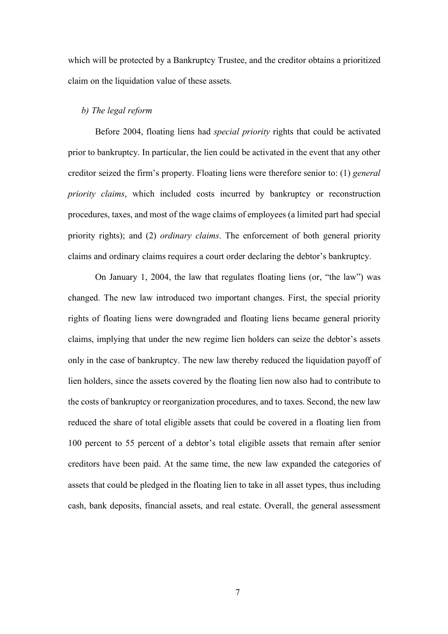which will be protected by a Bankruptcy Trustee, and the creditor obtains a prioritized claim on the liquidation value of these assets.

#### *b) The legal reform*

Before 2004, floating liens had *special priority* rights that could be activated prior to bankruptcy. In particular, the lien could be activated in the event that any other creditor seized the firm's property. Floating liens were therefore senior to: (1) *general priority claims*, which included costs incurred by bankruptcy or reconstruction procedures, taxes, and most of the wage claims of employees (a limited part had special priority rights); and (2) *ordinary claims*. The enforcement of both general priority claims and ordinary claims requires a court order declaring the debtor's bankruptcy.

On January 1, 2004, the law that regulates floating liens (or, "the law") was changed. The new law introduced two important changes. First, the special priority rights of floating liens were downgraded and floating liens became general priority claims, implying that under the new regime lien holders can seize the debtor's assets only in the case of bankruptcy. The new law thereby reduced the liquidation payoff of lien holders, since the assets covered by the floating lien now also had to contribute to the costs of bankruptcy or reorganization procedures, and to taxes. Second, the new law reduced the share of total eligible assets that could be covered in a floating lien from 100 percent to 55 percent of a debtor's total eligible assets that remain after senior creditors have been paid. At the same time, the new law expanded the categories of assets that could be pledged in the floating lien to take in all asset types, thus including cash, bank deposits, financial assets, and real estate. Overall, the general assessment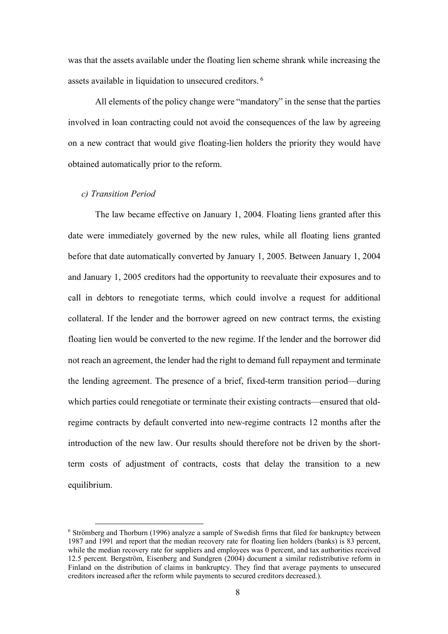was that the assets available under the floating lien scheme shrank while increasing the assets available in liquidation to unsecured creditors. <sup>6</sup>

All elements of the policy change were "mandatory" in the sense that the parties involved in loan contracting could not avoid the consequences of the law by agreeing on a new contract that would give floating-lien holders the priority they would have obtained automatically prior to the reform.

#### *c) Transition Period*

The law became effective on January 1, 2004. Floating liens granted after this date were immediately governed by the new rules, while all floating liens granted before that date automatically converted by January 1, 2005. Between January 1, 2004 and January 1, 2005 creditors had the opportunity to reevaluate their exposures and to call in debtors to renegotiate terms, which could involve a request for additional collateral. If the lender and the borrower agreed on new contract terms, the existing floating lien would be converted to the new regime. If the lender and the borrower did not reach an agreement, the lender had the right to demand full repayment and terminate the lending agreement. The presence of a brief, fixed-term transition period—during which parties could renegotiate or terminate their existing contracts—ensured that oldregime contracts by default converted into new-regime contracts 12 months after the introduction of the new law. Our results should therefore not be driven by the shortterm costs of adjustment of contracts, costs that delay the transition to a new equilibrium.

 <sup>6</sup> Strömberg and Thorburn (1996) analyze a sample of Swedish firms that filed for bankruptcy between 1987 and 1991 and report that the median recovery rate for floating lien holders (banks) is 83 percent, while the median recovery rate for suppliers and employees was 0 percent, and tax authorities received 12.5 percent. Bergström, Eisenberg and Sundgren (2004) document a similar redistributive reform in Finland on the distribution of claims in bankruptcy. They find that average payments to unsecured creditors increased after the reform while payments to secured creditors decreased.).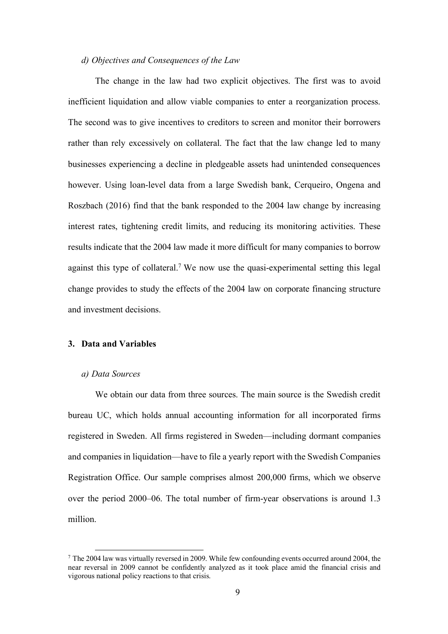#### *d) Objectives and Consequences of the Law*

The change in the law had two explicit objectives. The first was to avoid inefficient liquidation and allow viable companies to enter a reorganization process. The second was to give incentives to creditors to screen and monitor their borrowers rather than rely excessively on collateral. The fact that the law change led to many businesses experiencing a decline in pledgeable assets had unintended consequences however. Using loan-level data from a large Swedish bank, Cerqueiro, Ongena and Roszbach (2016) find that the bank responded to the 2004 law change by increasing interest rates, tightening credit limits, and reducing its monitoring activities. These results indicate that the 2004 law made it more difficult for many companies to borrow against this type of collateral.<sup>7</sup> We now use the quasi-experimental setting this legal change provides to study the effects of the 2004 law on corporate financing structure and investment decisions.

#### **3. Data and Variables**

#### *a) Data Sources*

We obtain our data from three sources. The main source is the Swedish credit bureau UC, which holds annual accounting information for all incorporated firms registered in Sweden. All firms registered in Sweden—including dormant companies and companies in liquidation—have to file a yearly report with the Swedish Companies Registration Office. Our sample comprises almost 200,000 firms, which we observe over the period 2000–06. The total number of firm-year observations is around 1.3 million.

 $7$  The 2004 law was virtually reversed in 2009. While few confounding events occurred around 2004, the near reversal in 2009 cannot be confidently analyzed as it took place amid the financial crisis and vigorous national policy reactions to that crisis.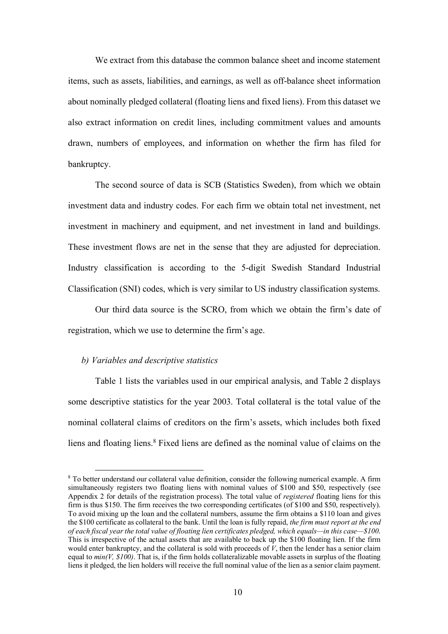We extract from this database the common balance sheet and income statement items, such as assets, liabilities, and earnings, as well as off-balance sheet information about nominally pledged collateral (floating liens and fixed liens). From this dataset we also extract information on credit lines, including commitment values and amounts drawn, numbers of employees, and information on whether the firm has filed for bankruptcy.

The second source of data is SCB (Statistics Sweden), from which we obtain investment data and industry codes. For each firm we obtain total net investment, net investment in machinery and equipment, and net investment in land and buildings. These investment flows are net in the sense that they are adjusted for depreciation. Industry classification is according to the 5-digit Swedish Standard Industrial Classification (SNI) codes, which is very similar to US industry classification systems.

Our third data source is the SCRO, from which we obtain the firm's date of registration, which we use to determine the firm's age.

#### *b) Variables and descriptive statistics*

Table 1 lists the variables used in our empirical analysis, and Table 2 displays some descriptive statistics for the year 2003. Total collateral is the total value of the nominal collateral claims of creditors on the firm's assets, which includes both fixed liens and floating liens. <sup>8</sup> Fixed liens are defined as the nominal value of claims on the

 <sup>8</sup> To better understand our collateral value definition, consider the following numerical example. A firm simultaneously registers two floating liens with nominal values of \$100 and \$50, respectively (see Appendix 2 for details of the registration process). The total value of *registered* floating liens for this firm is thus \$150. The firm receives the two corresponding certificates (of \$100 and \$50, respectively). To avoid mixing up the loan and the collateral numbers, assume the firm obtains a \$110 loan and gives the \$100 certificate as collateral to the bank. Until the loan is fully repaid, *the firm must report at the end of each fiscal year the total value of floating lien certificates pledged, which equals—in this case—\$100*. This is irrespective of the actual assets that are available to back up the \$100 floating lien. If the firm would enter bankruptcy, and the collateral is sold with proceeds of *V*, then the lender has a senior claim equal to  $min(V, $100)$ . That is, if the firm holds collateralizable movable assets in surplus of the floating liens it pledged, the lien holders will receive the full nominal value of the lien as a senior claim payment.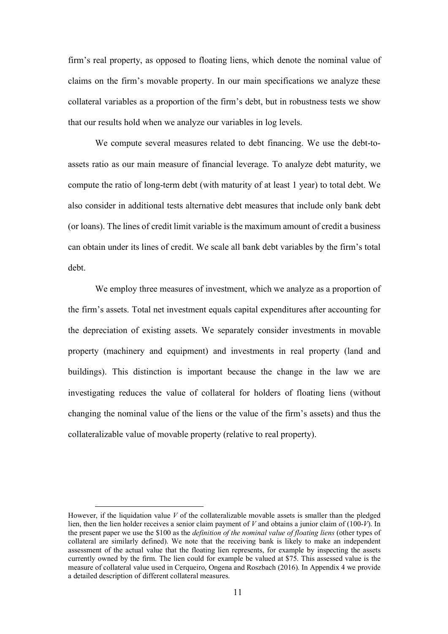firm's real property, as opposed to floating liens, which denote the nominal value of claims on the firm's movable property. In our main specifications we analyze these collateral variables as a proportion of the firm's debt, but in robustness tests we show that our results hold when we analyze our variables in log levels.

We compute several measures related to debt financing. We use the debt-toassets ratio as our main measure of financial leverage. To analyze debt maturity, we compute the ratio of long-term debt (with maturity of at least 1 year) to total debt. We also consider in additional tests alternative debt measures that include only bank debt (or loans). The lines of credit limit variable is the maximum amount of credit a business can obtain under its lines of credit. We scale all bank debt variables by the firm's total debt.

We employ three measures of investment, which we analyze as a proportion of the firm's assets. Total net investment equals capital expenditures after accounting for the depreciation of existing assets. We separately consider investments in movable property (machinery and equipment) and investments in real property (land and buildings). This distinction is important because the change in the law we are investigating reduces the value of collateral for holders of floating liens (without changing the nominal value of the liens or the value of the firm's assets) and thus the collateralizable value of movable property (relative to real property).

1

However, if the liquidation value  $V$  of the collateralizable movable assets is smaller than the pledged lien, then the lien holder receives a senior claim payment of *V* and obtains a junior claim of (100-*V*). In the present paper we use the \$100 as the *definition of the nominal value of floating liens* (other types of collateral are similarly defined). We note that the receiving bank is likely to make an independent assessment of the actual value that the floating lien represents, for example by inspecting the assets currently owned by the firm. The lien could for example be valued at \$75. This assessed value is the measure of collateral value used in Cerqueiro, Ongena and Roszbach (2016). In Appendix 4 we provide a detailed description of different collateral measures.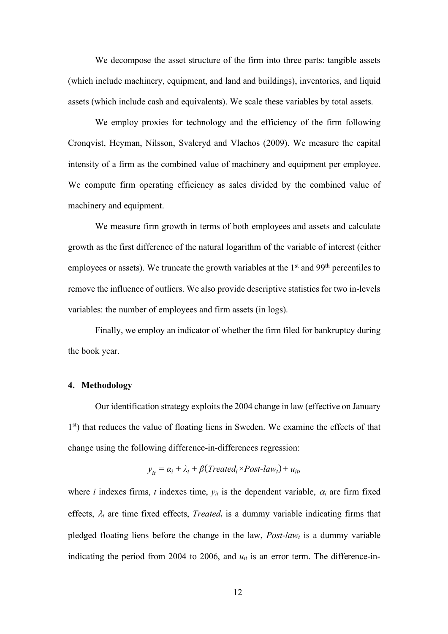We decompose the asset structure of the firm into three parts: tangible assets (which include machinery, equipment, and land and buildings), inventories, and liquid assets (which include cash and equivalents). We scale these variables by total assets.

We employ proxies for technology and the efficiency of the firm following Cronqvist, Heyman, Nilsson, Svaleryd and Vlachos (2009). We measure the capital intensity of a firm as the combined value of machinery and equipment per employee. We compute firm operating efficiency as sales divided by the combined value of machinery and equipment.

We measure firm growth in terms of both employees and assets and calculate growth as the first difference of the natural logarithm of the variable of interest (either employees or assets). We truncate the growth variables at the  $1<sup>st</sup>$  and 99<sup>th</sup> percentiles to remove the influence of outliers. We also provide descriptive statistics for two in-levels variables: the number of employees and firm assets (in logs).

Finally, we employ an indicator of whether the firm filed for bankruptcy during the book year.

#### **4. Methodology**

Our identification strategy exploits the 2004 change in law (effective on January 1<sup>st</sup>) that reduces the value of floating liens in Sweden. We examine the effects of that change using the following difference-in-differences regression:

$$
y_{it} = \alpha_i + \lambda_t + \beta (Treated_i \times Post-law_t) + u_{it}
$$

where *i* indexes firms, *t* indexes time,  $y_{it}$  is the dependent variable,  $\alpha_i$  are firm fixed effects,  $\lambda_t$  are time fixed effects, *Treated<sub>i</sub>* is a dummy variable indicating firms that pledged floating liens before the change in the law, *Post-lawt* is a dummy variable indicating the period from 2004 to 2006, and  $u_{it}$  is an error term. The difference-in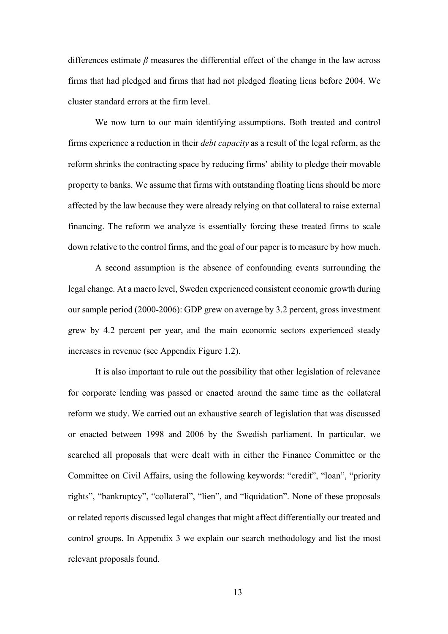differences estimate  $\beta$  measures the differential effect of the change in the law across firms that had pledged and firms that had not pledged floating liens before 2004. We cluster standard errors at the firm level.

We now turn to our main identifying assumptions. Both treated and control firms experience a reduction in their *debt capacity* as a result of the legal reform, as the reform shrinks the contracting space by reducing firms' ability to pledge their movable property to banks. We assume that firms with outstanding floating liens should be more affected by the law because they were already relying on that collateral to raise external financing. The reform we analyze is essentially forcing these treated firms to scale down relative to the control firms, and the goal of our paper is to measure by how much.

A second assumption is the absence of confounding events surrounding the legal change. At a macro level, Sweden experienced consistent economic growth during our sample period (2000-2006): GDP grew on average by 3.2 percent, gross investment grew by 4.2 percent per year, and the main economic sectors experienced steady increases in revenue (see Appendix Figure 1.2).

It is also important to rule out the possibility that other legislation of relevance for corporate lending was passed or enacted around the same time as the collateral reform we study. We carried out an exhaustive search of legislation that was discussed or enacted between 1998 and 2006 by the Swedish parliament. In particular, we searched all proposals that were dealt with in either the Finance Committee or the Committee on Civil Affairs, using the following keywords: "credit", "loan", "priority rights", "bankruptcy", "collateral", "lien", and "liquidation". None of these proposals or related reports discussed legal changes that might affect differentially our treated and control groups. In Appendix 3 we explain our search methodology and list the most relevant proposals found.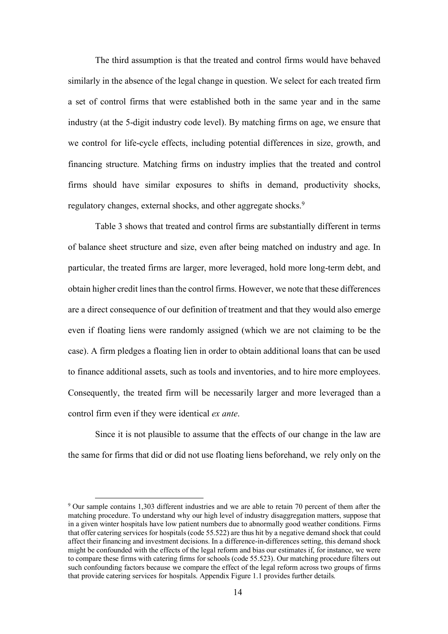The third assumption is that the treated and control firms would have behaved similarly in the absence of the legal change in question. We select for each treated firm a set of control firms that were established both in the same year and in the same industry (at the 5-digit industry code level). By matching firms on age, we ensure that we control for life-cycle effects, including potential differences in size, growth, and financing structure. Matching firms on industry implies that the treated and control firms should have similar exposures to shifts in demand, productivity shocks, regulatory changes, external shocks, and other aggregate shocks.<sup>9</sup>

Table 3 shows that treated and control firms are substantially different in terms of balance sheet structure and size, even after being matched on industry and age. In particular, the treated firms are larger, more leveraged, hold more long-term debt, and obtain higher credit lines than the control firms. However, we note that these differences are a direct consequence of our definition of treatment and that they would also emerge even if floating liens were randomly assigned (which we are not claiming to be the case). A firm pledges a floating lien in order to obtain additional loans that can be used to finance additional assets, such as tools and inventories, and to hire more employees. Consequently, the treated firm will be necessarily larger and more leveraged than a control firm even if they were identical *ex ante*.

Since it is not plausible to assume that the effects of our change in the law are the same for firms that did or did not use floating liens beforehand, we rely only on the

 <sup>9</sup> Our sample contains 1,303 different industries and we are able to retain 70 percent of them after the matching procedure. To understand why our high level of industry disaggregation matters, suppose that in a given winter hospitals have low patient numbers due to abnormally good weather conditions. Firms that offer catering services for hospitals (code 55.522) are thus hit by a negative demand shock that could affect their financing and investment decisions. In a difference-in-differences setting, this demand shock might be confounded with the effects of the legal reform and bias our estimates if, for instance, we were to compare these firms with catering firms for schools (code 55.523). Our matching procedure filters out such confounding factors because we compare the effect of the legal reform across two groups of firms that provide catering services for hospitals. Appendix Figure 1.1 provides further details.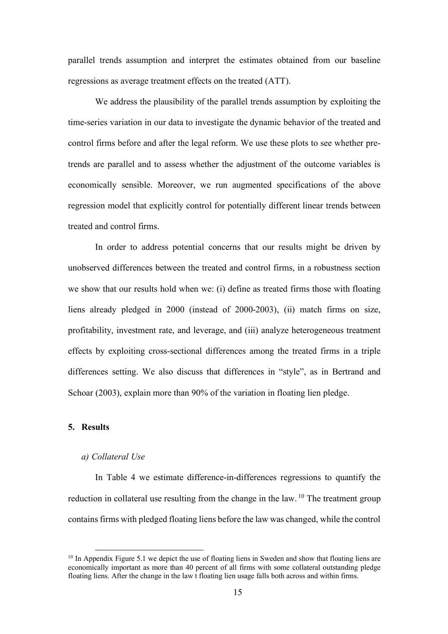parallel trends assumption and interpret the estimates obtained from our baseline regressions as average treatment effects on the treated (ATT).

We address the plausibility of the parallel trends assumption by exploiting the time-series variation in our data to investigate the dynamic behavior of the treated and control firms before and after the legal reform. We use these plots to see whether pretrends are parallel and to assess whether the adjustment of the outcome variables is economically sensible. Moreover, we run augmented specifications of the above regression model that explicitly control for potentially different linear trends between treated and control firms.

In order to address potential concerns that our results might be driven by unobserved differences between the treated and control firms, in a robustness section we show that our results hold when we: (i) define as treated firms those with floating liens already pledged in 2000 (instead of 2000-2003), (ii) match firms on size, profitability, investment rate, and leverage, and (iii) analyze heterogeneous treatment effects by exploiting cross-sectional differences among the treated firms in a triple differences setting. We also discuss that differences in "style", as in Bertrand and Schoar (2003), explain more than 90% of the variation in floating lien pledge.

#### **5. Results**

#### *a) Collateral Use*

In Table 4 we estimate difference-in-differences regressions to quantify the reduction in collateral use resulting from the change in the law. <sup>10</sup> The treatment group containsfirms with pledged floating liens before the law was changed, while the control

 $10$  In Appendix Figure 5.1 we depict the use of floating liens in Sweden and show that floating liens are economically important as more than 40 percent of all firms with some collateral outstanding pledge floating liens. After the change in the law t floating lien usage falls both across and within firms.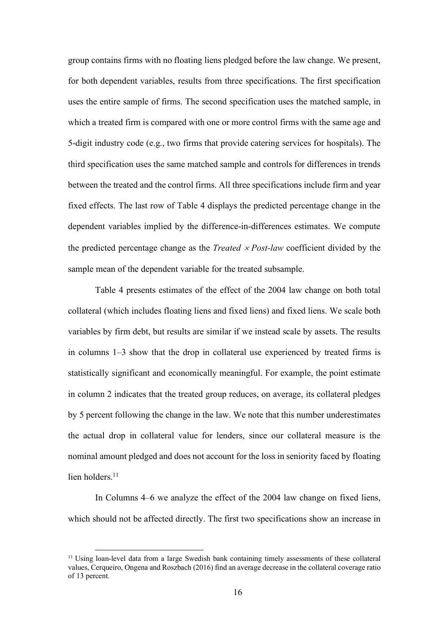group contains firms with no floating liens pledged before the law change. We present, for both dependent variables, results from three specifications. The first specification uses the entire sample of firms. The second specification uses the matched sample, in which a treated firm is compared with one or more control firms with the same age and 5-digit industry code (e.g., two firms that provide catering services for hospitals). The third specification uses the same matched sample and controls for differences in trends between the treated and the control firms. All three specifications include firm and year fixed effects. The last row of Table 4 displays the predicted percentage change in the dependent variables implied by the difference-in-differences estimates. We compute the predicted percentage change as the *Treated*  $\times Post-law$  coefficient divided by the sample mean of the dependent variable for the treated subsample.

Table 4 presents estimates of the effect of the 2004 law change on both total collateral (which includes floating liens and fixed liens) and fixed liens. We scale both variables by firm debt, but results are similar if we instead scale by assets. The results in columns 1‒3 show that the drop in collateral use experienced by treated firms is statistically significant and economically meaningful. For example, the point estimate in column 2 indicates that the treated group reduces, on average, its collateral pledges by 5 percent following the change in the law. We note that this number underestimates the actual drop in collateral value for lenders, since our collateral measure is the nominal amount pledged and does not account for the loss in seniority faced by floating lien holders<sup>11</sup>

In Columns 4–6 we analyze the effect of the 2004 law change on fixed liens, which should not be affected directly. The first two specifications show an increase in

<sup>&</sup>lt;sup>11</sup> Using loan-level data from a large Swedish bank containing timely assessments of these collateral values, Cerqueiro, Ongena and Roszbach (2016) find an average decrease in the collateral coverage ratio of 13 percent.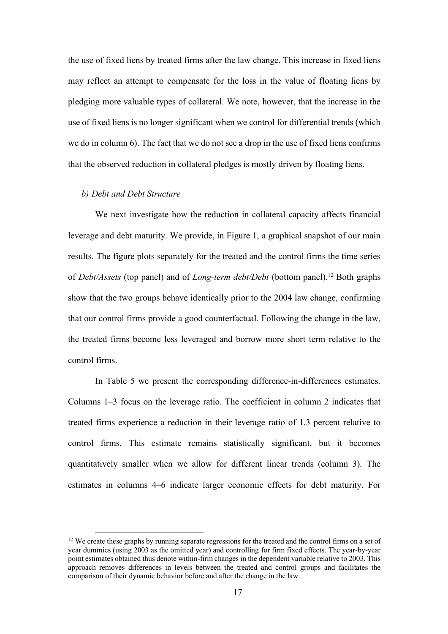the use of fixed liens by treated firms after the law change. This increase in fixed liens may reflect an attempt to compensate for the loss in the value of floating liens by pledging more valuable types of collateral. We note, however, that the increase in the use of fixed liens is no longer significant when we control for differential trends (which we do in column 6). The fact that we do not see a drop in the use of fixed liens confirms that the observed reduction in collateral pledges is mostly driven by floating liens.

#### *b) Debt and Debt Structure*

We next investigate how the reduction in collateral capacity affects financial leverage and debt maturity. We provide, in Figure 1, a graphical snapshot of our main results. The figure plots separately for the treated and the control firms the time series of *Debt/Assets* (top panel) and of *Long-term debt/Debt* (bottom panel). <sup>12</sup> Both graphs show that the two groups behave identically prior to the 2004 law change, confirming that our control firms provide a good counterfactual. Following the change in the law, the treated firms become less leveraged and borrow more short term relative to the control firms.

In Table 5 we present the corresponding difference-in-differences estimates. Columns 1‒3 focus on the leverage ratio. The coefficient in column 2 indicates that treated firms experience a reduction in their leverage ratio of 1.3 percent relative to control firms. This estimate remains statistically significant, but it becomes quantitatively smaller when we allow for different linear trends (column 3). The estimates in columns 4‒6 indicate larger economic effects for debt maturity. For

 $12$  We create these graphs by running separate regressions for the treated and the control firms on a set of year dummies (using 2003 as the omitted year) and controlling for firm fixed effects. The year-by-year point estimates obtained thus denote within-firm changes in the dependent variable relative to 2003. This approach removes differences in levels between the treated and control groups and facilitates the comparison of their dynamic behavior before and after the change in the law.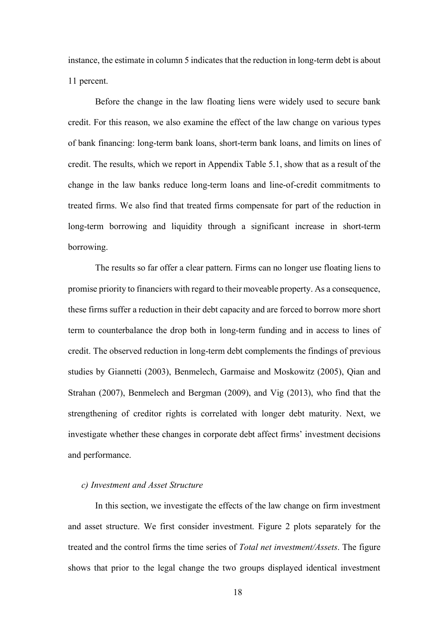instance, the estimate in column 5 indicates that the reduction in long-term debt is about 11 percent.

Before the change in the law floating liens were widely used to secure bank credit. For this reason, we also examine the effect of the law change on various types of bank financing: long-term bank loans, short-term bank loans, and limits on lines of credit. The results, which we report in Appendix Table 5.1, show that as a result of the change in the law banks reduce long-term loans and line-of-credit commitments to treated firms. We also find that treated firms compensate for part of the reduction in long-term borrowing and liquidity through a significant increase in short-term borrowing.

The results so far offer a clear pattern. Firms can no longer use floating liens to promise priority to financiers with regard to their moveable property. As a consequence, these firms suffer a reduction in their debt capacity and are forced to borrow more short term to counterbalance the drop both in long-term funding and in access to lines of credit. The observed reduction in long-term debt complements the findings of previous studies by Giannetti (2003), Benmelech, Garmaise and Moskowitz (2005), Qian and Strahan (2007), Benmelech and Bergman (2009), and Vig (2013), who find that the strengthening of creditor rights is correlated with longer debt maturity. Next, we investigate whether these changes in corporate debt affect firms' investment decisions and performance.

#### *c) Investment and Asset Structure*

In this section, we investigate the effects of the law change on firm investment and asset structure. We first consider investment. Figure 2 plots separately for the treated and the control firms the time series of *Total net investment/Assets*. The figure shows that prior to the legal change the two groups displayed identical investment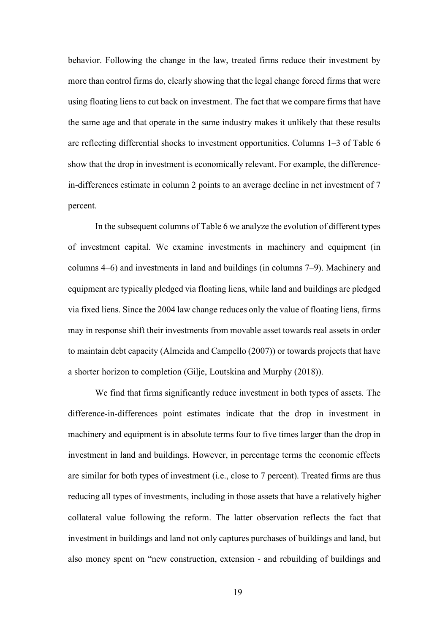behavior. Following the change in the law, treated firms reduce their investment by more than control firms do, clearly showing that the legal change forced firms that were using floating liens to cut back on investment. The fact that we compare firms that have the same age and that operate in the same industry makes it unlikely that these results are reflecting differential shocks to investment opportunities. Columns 1–3 of Table 6 show that the drop in investment is economically relevant. For example, the differencein-differences estimate in column 2 points to an average decline in net investment of 7 percent.

In the subsequent columns of Table 6 we analyze the evolution of different types of investment capital. We examine investments in machinery and equipment (in columns 4‒6) and investments in land and buildings (in columns 7‒9). Machinery and equipment are typically pledged via floating liens, while land and buildings are pledged via fixed liens. Since the 2004 law change reduces only the value of floating liens, firms may in response shift their investments from movable asset towards real assets in order to maintain debt capacity (Almeida and Campello (2007)) or towards projects that have a shorter horizon to completion (Gilje, Loutskina and Murphy (2018)).

We find that firms significantly reduce investment in both types of assets. The difference-in-differences point estimates indicate that the drop in investment in machinery and equipment is in absolute terms four to five times larger than the drop in investment in land and buildings. However, in percentage terms the economic effects are similar for both types of investment (i.e., close to 7 percent). Treated firms are thus reducing all types of investments, including in those assets that have a relatively higher collateral value following the reform. The latter observation reflects the fact that investment in buildings and land not only captures purchases of buildings and land, but also money spent on "new construction, extension - and rebuilding of buildings and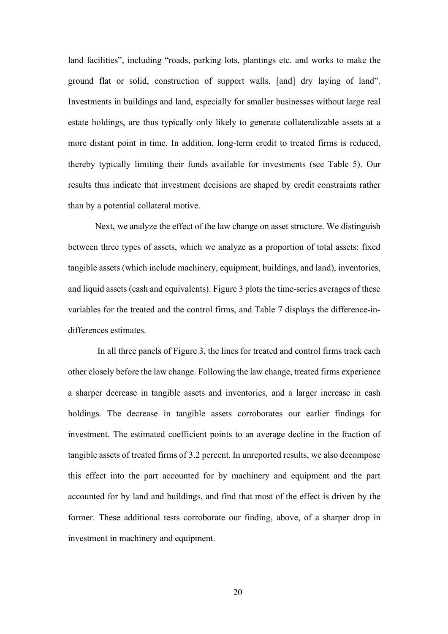land facilities", including "roads, parking lots, plantings etc. and works to make the ground flat or solid, construction of support walls, [and] dry laying of land". Investments in buildings and land, especially for smaller businesses without large real estate holdings, are thus typically only likely to generate collateralizable assets at a more distant point in time. In addition, long-term credit to treated firms is reduced, thereby typically limiting their funds available for investments (see Table 5). Our results thus indicate that investment decisions are shaped by credit constraints rather than by a potential collateral motive.

Next, we analyze the effect of the law change on asset structure. We distinguish between three types of assets, which we analyze as a proportion of total assets: fixed tangible assets (which include machinery, equipment, buildings, and land), inventories, and liquid assets (cash and equivalents). Figure 3 plots the time-series averages of these variables for the treated and the control firms, and Table 7 displays the difference-indifferences estimates.

In all three panels of Figure 3, the lines for treated and control firms track each other closely before the law change. Following the law change, treated firms experience a sharper decrease in tangible assets and inventories, and a larger increase in cash holdings. The decrease in tangible assets corroborates our earlier findings for investment. The estimated coefficient points to an average decline in the fraction of tangible assets of treated firms of 3.2 percent. In unreported results, we also decompose this effect into the part accounted for by machinery and equipment and the part accounted for by land and buildings, and find that most of the effect is driven by the former. These additional tests corroborate our finding, above, of a sharper drop in investment in machinery and equipment.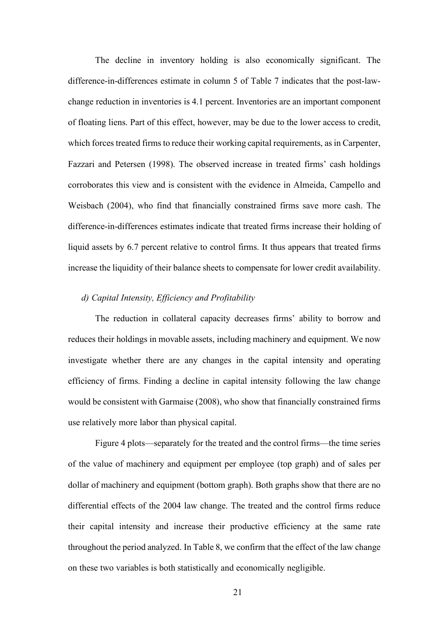The decline in inventory holding is also economically significant. The difference-in-differences estimate in column 5 of Table 7 indicates that the post-lawchange reduction in inventories is 4.1 percent. Inventories are an important component of floating liens. Part of this effect, however, may be due to the lower access to credit, which forces treated firms to reduce their working capital requirements, as in Carpenter, Fazzari and Petersen (1998). The observed increase in treated firms' cash holdings corroborates this view and is consistent with the evidence in Almeida, Campello and Weisbach (2004), who find that financially constrained firms save more cash. The difference-in-differences estimates indicate that treated firms increase their holding of liquid assets by 6.7 percent relative to control firms. It thus appears that treated firms increase the liquidity of their balance sheets to compensate for lower credit availability.

#### *d) Capital Intensity, Efficiency and Profitability*

The reduction in collateral capacity decreases firms' ability to borrow and reduces their holdings in movable assets, including machinery and equipment. We now investigate whether there are any changes in the capital intensity and operating efficiency of firms. Finding a decline in capital intensity following the law change would be consistent with Garmaise (2008), who show that financially constrained firms use relatively more labor than physical capital.

Figure 4 plots—separately for the treated and the control firms—the time series of the value of machinery and equipment per employee (top graph) and of sales per dollar of machinery and equipment (bottom graph). Both graphs show that there are no differential effects of the 2004 law change. The treated and the control firms reduce their capital intensity and increase their productive efficiency at the same rate throughout the period analyzed. In Table 8, we confirm that the effect of the law change on these two variables is both statistically and economically negligible.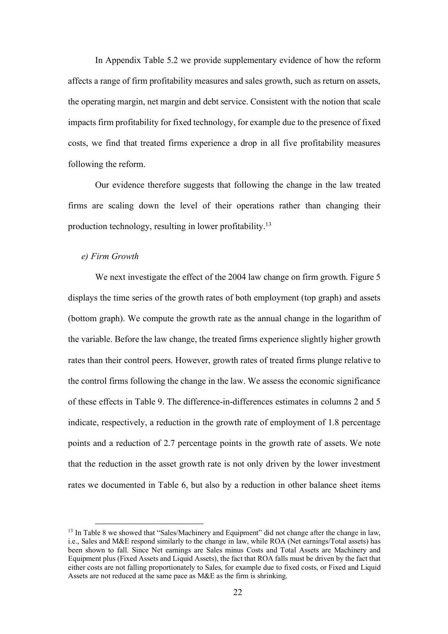In Appendix Table 5.2 we provide supplementary evidence of how the reform affects a range of firm profitability measures and sales growth, such as return on assets, the operating margin, net margin and debt service. Consistent with the notion that scale impacts firm profitability for fixed technology, for example due to the presence of fixed costs, we find that treated firms experience a drop in all five profitability measures following the reform.

Our evidence therefore suggests that following the change in the law treated firms are scaling down the level of their operations rather than changing their production technology, resulting in lower profitability.<sup>13</sup>

#### *e) Firm Growth*

We next investigate the effect of the 2004 law change on firm growth. Figure 5 displays the time series of the growth rates of both employment (top graph) and assets (bottom graph). We compute the growth rate as the annual change in the logarithm of the variable. Before the law change, the treated firms experience slightly higher growth rates than their control peers. However, growth rates of treated firms plunge relative to the control firms following the change in the law. We assess the economic significance of these effects in Table 9. The difference-in-differences estimates in columns 2 and 5 indicate, respectively, a reduction in the growth rate of employment of 1.8 percentage points and a reduction of 2.7 percentage points in the growth rate of assets. We note that the reduction in the asset growth rate is not only driven by the lower investment rates we documented in Table 6, but also by a reduction in other balance sheet items

<sup>&</sup>lt;sup>13</sup> In Table 8 we showed that "Sales/Machinery and Equipment" did not change after the change in law, i.e., Sales and M&E respond similarly to the change in law, while ROA (Net earnings/Total assets) has been shown to fall. Since Net earnings are Sales minus Costs and Total Assets are Machinery and Equipment plus (Fixed Assets and Liquid Assets), the fact that ROA falls must be driven by the fact that either costs are not falling proportionately to Sales, for example due to fixed costs, or Fixed and Liquid Assets are not reduced at the same pace as M&E as the firm is shrinking.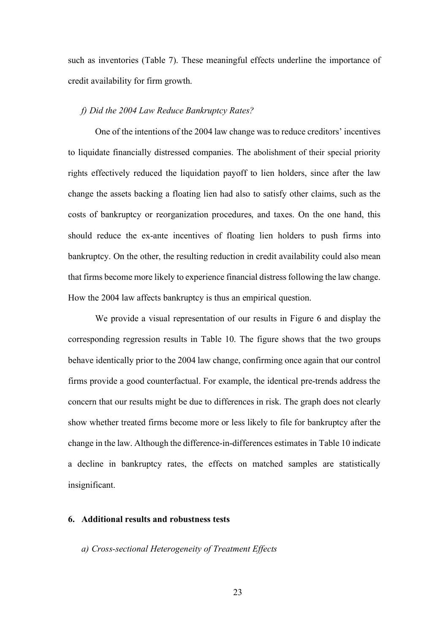such as inventories (Table 7). These meaningful effects underline the importance of credit availability for firm growth.

#### *f) Did the 2004 Law Reduce Bankruptcy Rates?*

One of the intentions of the 2004 law change was to reduce creditors' incentives to liquidate financially distressed companies. The abolishment of their special priority rights effectively reduced the liquidation payoff to lien holders, since after the law change the assets backing a floating lien had also to satisfy other claims, such as the costs of bankruptcy or reorganization procedures, and taxes. On the one hand, this should reduce the ex-ante incentives of floating lien holders to push firms into bankruptcy. On the other, the resulting reduction in credit availability could also mean that firms become more likely to experience financial distress following the law change. How the 2004 law affects bankruptcy is thus an empirical question.

We provide a visual representation of our results in Figure 6 and display the corresponding regression results in Table 10. The figure shows that the two groups behave identically prior to the 2004 law change, confirming once again that our control firms provide a good counterfactual. For example, the identical pre-trends address the concern that our results might be due to differences in risk. The graph does not clearly show whether treated firms become more or less likely to file for bankruptcy after the change in the law. Although the difference-in-differences estimates in Table 10 indicate a decline in bankruptcy rates, the effects on matched samples are statistically insignificant.

#### **6. Additional results and robustness tests**

*a) Cross-sectional Heterogeneity of Treatment Effects*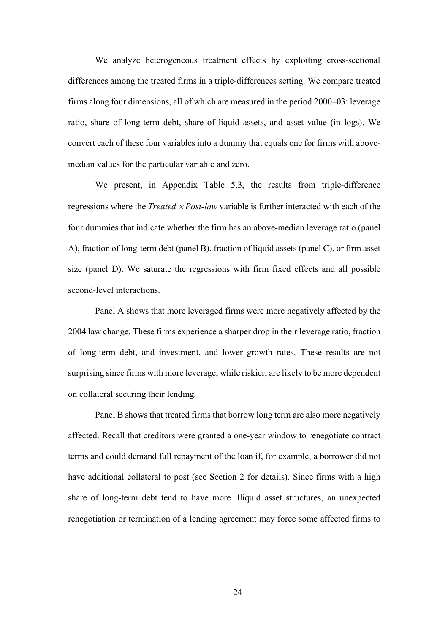We analyze heterogeneous treatment effects by exploiting cross-sectional differences among the treated firms in a triple-differences setting. We compare treated firms along four dimensions, all of which are measured in the period 2000–03: leverage ratio, share of long-term debt, share of liquid assets, and asset value (in logs). We convert each of these four variables into a dummy that equals one for firms with abovemedian values for the particular variable and zero.

We present, in Appendix Table 5.3, the results from triple-difference regressions where the *Treated*  $\times Post-law$  variable is further interacted with each of the four dummies that indicate whether the firm has an above-median leverage ratio (panel A), fraction of long-term debt (panel B), fraction of liquid assets (panel C), or firm asset size (panel D). We saturate the regressions with firm fixed effects and all possible second-level interactions.

Panel A shows that more leveraged firms were more negatively affected by the 2004 law change. These firms experience a sharper drop in their leverage ratio, fraction of long-term debt, and investment, and lower growth rates. These results are not surprising since firms with more leverage, while riskier, are likely to be more dependent on collateral securing their lending.

Panel B shows that treated firms that borrow long term are also more negatively affected. Recall that creditors were granted a one-year window to renegotiate contract terms and could demand full repayment of the loan if, for example, a borrower did not have additional collateral to post (see Section 2 for details). Since firms with a high share of long-term debt tend to have more illiquid asset structures, an unexpected renegotiation or termination of a lending agreement may force some affected firms to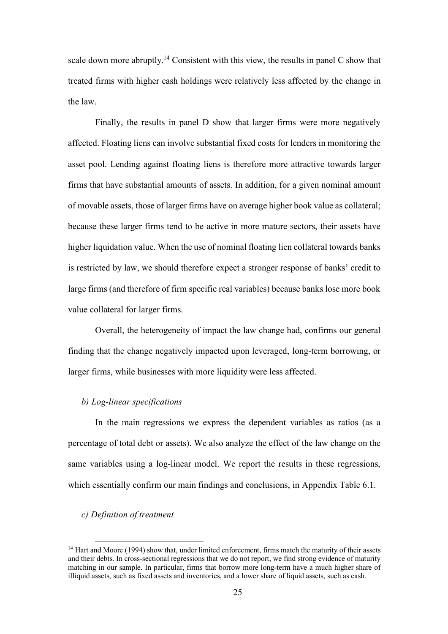scale down more abruptly.<sup>14</sup> Consistent with this view, the results in panel C show that treated firms with higher cash holdings were relatively less affected by the change in the law.

Finally, the results in panel D show that larger firms were more negatively affected. Floating liens can involve substantial fixed costs for lenders in monitoring the asset pool. Lending against floating liens is therefore more attractive towards larger firms that have substantial amounts of assets. In addition, for a given nominal amount of movable assets, those of larger firms have on average higher book value as collateral; because these larger firms tend to be active in more mature sectors, their assets have higher liquidation value. When the use of nominal floating lien collateral towards banks is restricted by law, we should therefore expect a stronger response of banks' credit to large firms (and therefore of firm specific real variables) because banks lose more book value collateral for larger firms.

Overall, the heterogeneity of impact the law change had, confirms our general finding that the change negatively impacted upon leveraged, long-term borrowing, or larger firms, while businesses with more liquidity were less affected.

#### *b) Log-linear specifications*

In the main regressions we express the dependent variables as ratios (as a percentage of total debt or assets). We also analyze the effect of the law change on the same variables using a log-linear model. We report the results in these regressions, which essentially confirm our main findings and conclusions, in Appendix Table 6.1.

## *c) Definition of treatment*

 $14$  Hart and Moore (1994) show that, under limited enforcement, firms match the maturity of their assets and their debts. In cross-sectional regressions that we do not report, we find strong evidence of maturity matching in our sample. In particular, firms that borrow more long-term have a much higher share of illiquid assets, such as fixed assets and inventories, and a lower share of liquid assets, such as cash.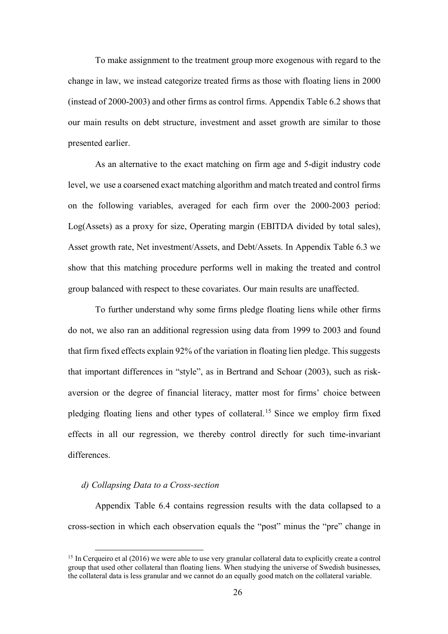To make assignment to the treatment group more exogenous with regard to the change in law, we instead categorize treated firms as those with floating liens in 2000 (instead of 2000-2003) and other firms as control firms. Appendix Table 6.2 shows that our main results on debt structure, investment and asset growth are similar to those presented earlier.

As an alternative to the exact matching on firm age and 5-digit industry code level, we use a coarsened exact matching algorithm and match treated and control firms on the following variables, averaged for each firm over the 2000-2003 period: Log(Assets) as a proxy for size, Operating margin (EBITDA divided by total sales), Asset growth rate, Net investment/Assets, and Debt/Assets. In Appendix Table 6.3 we show that this matching procedure performs well in making the treated and control group balanced with respect to these covariates. Our main results are unaffected.

To further understand why some firms pledge floating liens while other firms do not, we also ran an additional regression using data from 1999 to 2003 and found that firm fixed effects explain 92% of the variation in floating lien pledge. This suggests that important differences in "style", as in Bertrand and Schoar (2003), such as riskaversion or the degree of financial literacy, matter most for firms' choice between pledging floating liens and other types of collateral. <sup>15</sup> Since we employ firm fixed effects in all our regression, we thereby control directly for such time-invariant differences.

#### *d) Collapsing Data to a Cross-section*

Appendix Table 6.4 contains regression results with the data collapsed to a cross-section in which each observation equals the "post" minus the "pre" change in

<sup>&</sup>lt;sup>15</sup> In Cerqueiro et al (2016) we were able to use very granular collateral data to explicitly create a control group that used other collateral than floating liens. When studying the universe of Swedish businesses, the collateral data is less granular and we cannot do an equally good match on the collateral variable.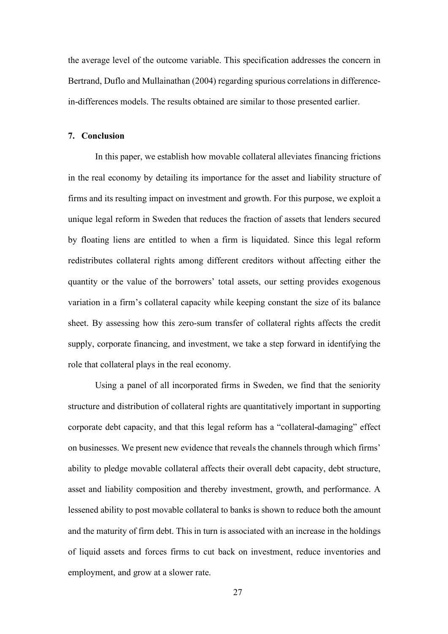the average level of the outcome variable. This specification addresses the concern in Bertrand, Duflo and Mullainathan (2004) regarding spurious correlations in differencein-differences models. The results obtained are similar to those presented earlier.

#### **7. Conclusion**

In this paper, we establish how movable collateral alleviates financing frictions in the real economy by detailing its importance for the asset and liability structure of firms and its resulting impact on investment and growth. For this purpose, we exploit a unique legal reform in Sweden that reduces the fraction of assets that lenders secured by floating liens are entitled to when a firm is liquidated. Since this legal reform redistributes collateral rights among different creditors without affecting either the quantity or the value of the borrowers' total assets, our setting provides exogenous variation in a firm's collateral capacity while keeping constant the size of its balance sheet. By assessing how this zero-sum transfer of collateral rights affects the credit supply, corporate financing, and investment, we take a step forward in identifying the role that collateral plays in the real economy.

Using a panel of all incorporated firms in Sweden, we find that the seniority structure and distribution of collateral rights are quantitatively important in supporting corporate debt capacity, and that this legal reform has a "collateral-damaging" effect on businesses. We present new evidence that reveals the channels through which firms' ability to pledge movable collateral affects their overall debt capacity, debt structure, asset and liability composition and thereby investment, growth, and performance. A lessened ability to post movable collateral to banks is shown to reduce both the amount and the maturity of firm debt. This in turn is associated with an increase in the holdings of liquid assets and forces firms to cut back on investment, reduce inventories and employment, and grow at a slower rate.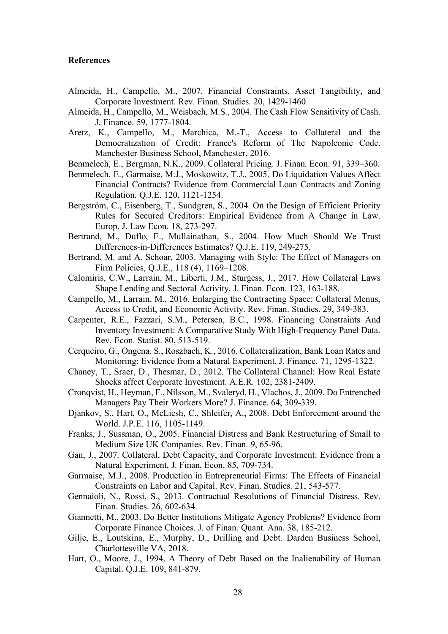#### **References**

- Almeida, H., Campello, M., 2007. Financial Constraints, Asset Tangibility, and Corporate Investment. Rev. Finan. Studies. 20, 1429-1460.
- Almeida, H., Campello, M., Weisbach, M.S., 2004. The Cash Flow Sensitivity of Cash. J. Finance. 59, 1777-1804.
- Aretz, K., Campello, M., Marchica, M.-T., Access to Collateral and the Democratization of Credit: France's Reform of The Napoleonic Code. Manchester Business School, Manchester, 2016.
- Benmelech, E., Bergman, N.K., 2009. Collateral Pricing. J. Finan. Econ. 91, 339–360.
- Benmelech, E., Garmaise, M.J., Moskowitz, T.J., 2005. Do Liquidation Values Affect Financial Contracts? Evidence from Commercial Loan Contracts and Zoning Regulation. Q.J.E. 120, 1121-1254.
- Bergström, C., Eisenberg, T., Sundgren, S., 2004. On the Design of Efficient Priority Rules for Secured Creditors: Empirical Evidence from A Change in Law. Europ. J. Law Econ. 18, 273-297.
- Bertrand, M., Duflo, E., Mullainathan, S., 2004. How Much Should We Trust Differences-in-Differences Estimates? Q.J.E. 119, 249-275.
- Bertrand, M. and A. Schoar, 2003. Managing with Style: The Effect of Managers on Firm Policies, Q.J.E., 118 (4), 1169–1208.
- Calomiris, C.W., Larrain, M., Liberti, J.M., Sturgess, J., 2017. How Collateral Laws Shape Lending and Sectoral Activity. J. Finan. Econ. 123, 163-188.
- Campello, M., Larrain, M., 2016. Enlarging the Contracting Space: Collateral Menus, Access to Credit, and Economic Activity. Rev. Finan. Studies. 29, 349-383.
- Carpenter, R.E., Fazzari, S.M., Petersen, B.C., 1998. Financing Constraints And Inventory Investment: A Comparative Study With High-Frequency Panel Data. Rev. Econ. Statist. 80, 513-519.
- Cerqueiro, G., Ongena, S., Roszbach, K., 2016. Collateralization, Bank Loan Rates and Monitoring: Evidence from a Natural Experiment. J. Finance. 71, 1295-1322.
- Chaney, T., Sraer, D., Thesmar, D., 2012. The Collateral Channel: How Real Estate Shocks affect Corporate Investment. A.E.R. 102, 2381-2409.
- Cronqvist, H., Heyman, F., Nilsson, M., Svaleryd, H., Vlachos, J., 2009. Do Entrenched Managers Pay Their Workers More? J. Finance. 64, 309-339.
- Djankov, S., Hart, O., McLiesh, C., Shleifer, A., 2008. Debt Enforcement around the World. J.P.E. 116, 1105-1149.
- Franks, J., Sussman, O., 2005. Financial Distress and Bank Restructuring of Small to Medium Size UK Companies. Rev. Finan. 9, 65-96.
- Gan, J., 2007. Collateral, Debt Capacity, and Corporate Investment: Evidence from a Natural Experiment. J. Finan. Econ. 85, 709-734.
- Garmaise, M.J., 2008. Production in Entrepreneurial Firms: The Effects of Financial Constraints on Labor and Capital. Rev. Finan. Studies. 21, 543-577.
- Gennaioli, N., Rossi, S., 2013. Contractual Resolutions of Financial Distress. Rev. Finan. Studies. 26, 602-634.
- Giannetti, M., 2003. Do Better Institutions Mitigate Agency Problems? Evidence from Corporate Finance Choices. J. of Finan. Quant. Ana. 38, 185-212.
- Gilje, E., Loutskina, E., Murphy, D., Drilling and Debt. Darden Business School, Charlottesville VA, 2018.
- Hart, O., Moore, J., 1994. A Theory of Debt Based on the Inalienability of Human Capital. Q.J.E. 109, 841-879.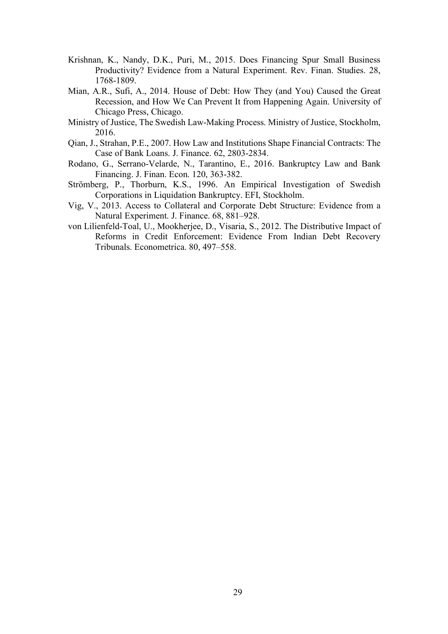- Krishnan, K., Nandy, D.K., Puri, M., 2015. Does Financing Spur Small Business Productivity? Evidence from a Natural Experiment. Rev. Finan. Studies. 28, 1768-1809.
- Mian, A.R., Sufi, A., 2014. House of Debt: How They (and You) Caused the Great Recession, and How We Can Prevent It from Happening Again. University of Chicago Press, Chicago.
- Ministry of Justice, The Swedish Law-Making Process. Ministry of Justice, Stockholm, 2016.
- Qian, J., Strahan, P.E., 2007. How Law and Institutions Shape Financial Contracts: The Case of Bank Loans. J. Finance. 62, 2803-2834.
- Rodano, G., Serrano-Velarde, N., Tarantino, E., 2016. Bankruptcy Law and Bank Financing. J. Finan. Econ. 120, 363-382.
- Strömberg, P., Thorburn, K.S., 1996. An Empirical Investigation of Swedish Corporations in Liquidation Bankruptcy. EFI, Stockholm.
- Vig, V., 2013. Access to Collateral and Corporate Debt Structure: Evidence from a Natural Experiment. J. Finance. 68, 881–928.
- von Lilienfeld-Toal, U., Mookherjee, D., Visaria, S., 2012. The Distributive Impact of Reforms in Credit Enforcement: Evidence From Indian Debt Recovery Tribunals. Econometrica. 80, 497–558.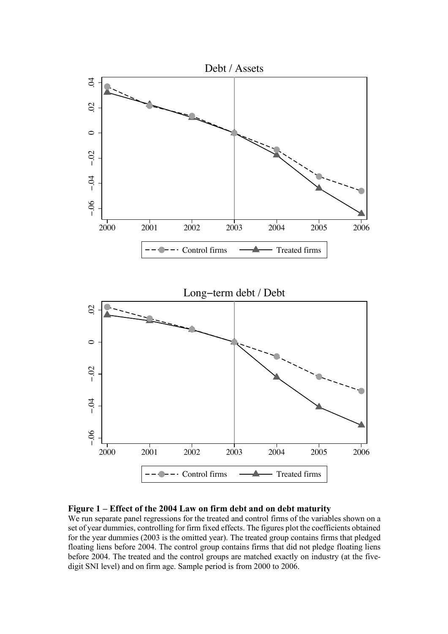

#### **Figure 1 – Effect of the 2004 Law on firm debt and on debt maturity**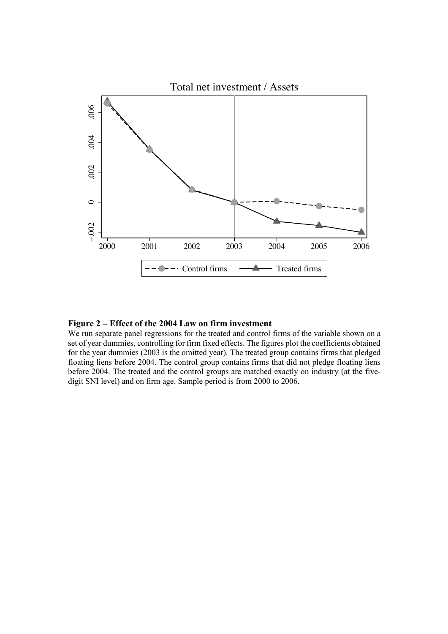

#### **Figure 2 – Effect of the 2004 Law on firm investment**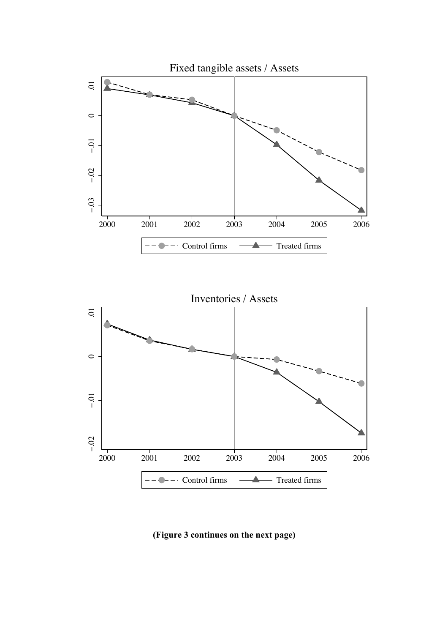

**(Figure 3 continues on the next page)**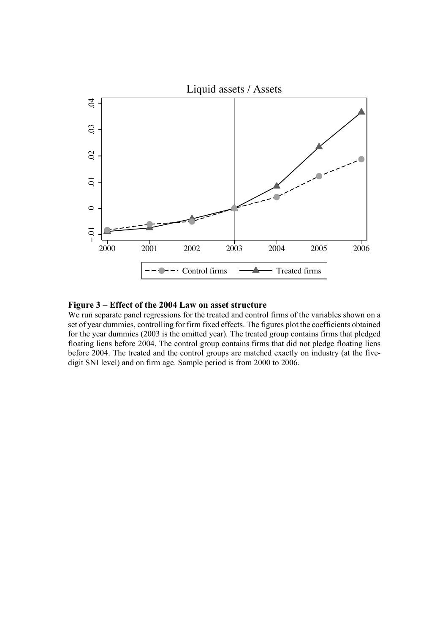

#### **Figure 3 – Effect of the 2004 Law on asset structure**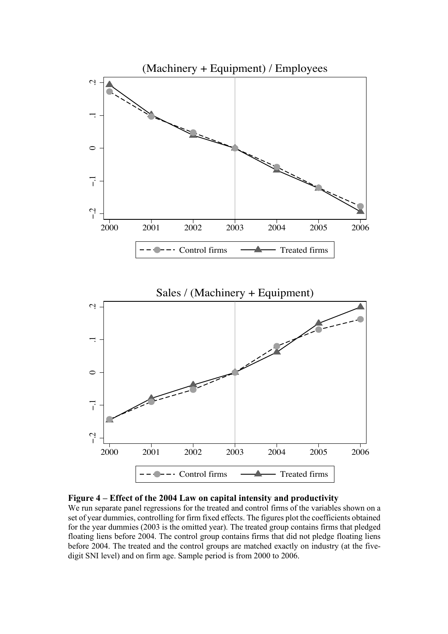

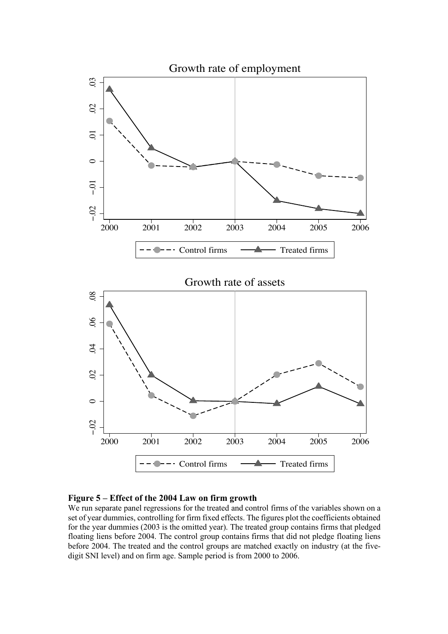

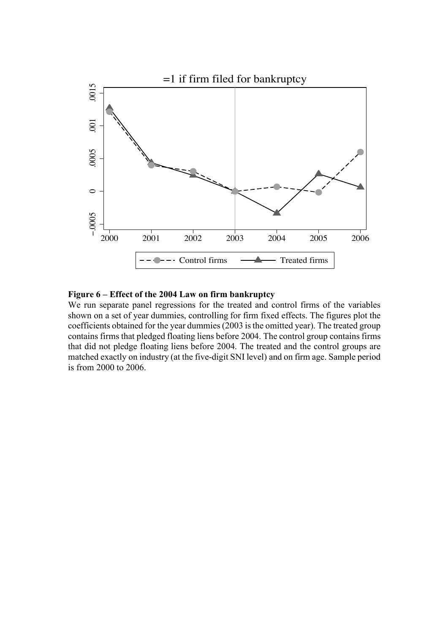

#### **Figure 6 – Effect of the 2004 Law on firm bankruptcy**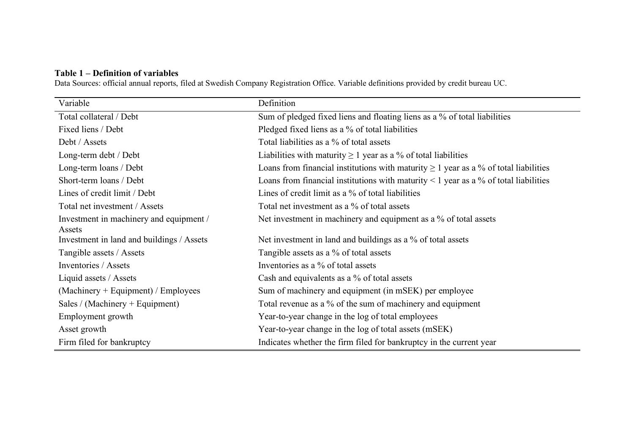## **Table 1 – Definition of variables**

Data Sources: official annual reports, filed at Swedish Company Registration Office. Variable definitions provided by credit bureau UC.

| Variable                                          | Definition                                                                                |
|---------------------------------------------------|-------------------------------------------------------------------------------------------|
| Total collateral / Debt                           | Sum of pledged fixed liens and floating liens as a % of total liabilities                 |
| Fixed liens / Debt                                | Pledged fixed liens as a % of total liabilities                                           |
| Debt / Assets                                     | Total liabilities as a % of total assets                                                  |
| Long-term debt / Debt                             | Liabilities with maturity $\geq 1$ year as a % of total liabilities                       |
| Long-term loans / Debt                            | Loans from financial institutions with maturity $\geq 1$ year as a % of total liabilities |
| Short-term loans / Debt                           | Loans from financial institutions with maturity $\leq 1$ year as a % of total liabilities |
| Lines of credit limit / Debt                      | Lines of credit limit as a % of total liabilities                                         |
| Total net investment / Assets                     | Total net investment as a % of total assets                                               |
| Investment in machinery and equipment /<br>Assets | Net investment in machinery and equipment as a % of total assets                          |
| Investment in land and buildings / Assets         | Net investment in land and buildings as a % of total assets                               |
| Tangible assets / Assets                          | Tangible assets as a % of total assets                                                    |
| Inventories / Assets                              | Inventories as a % of total assets                                                        |
| Liquid assets / Assets                            | Cash and equivalents as a % of total assets                                               |
| $(Machinery + Equipment) / Employes$              | Sum of machinery and equipment (in mSEK) per employee                                     |
| Sales / (Machinery + Equipment)                   | Total revenue as a % of the sum of machinery and equipment                                |
| Employment growth                                 | Year-to-year change in the log of total employees                                         |
| Asset growth                                      | Year-to-year change in the log of total assets (mSEK)                                     |
| Firm filed for bankruptcy                         | Indicates whether the firm filed for bankruptcy in the current year                       |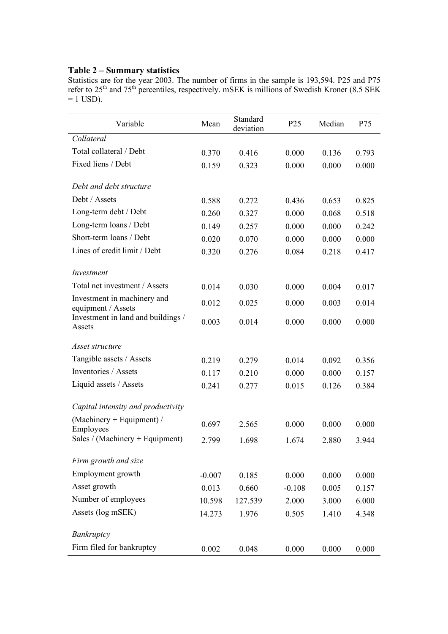#### **Table 2 – Summary statistics**

Statistics are for the year 2003. The number of firms in the sample is 193,594. P25 and P75 refer to 25<sup>th</sup> and 75<sup>th</sup> percentiles, respectively. mSEK is millions of Swedish Kroner (8.5 SEK  $= 1$  USD).

| Variable                                          | Mean     | Standard<br>deviation | P <sub>25</sub> | Median | P75   |
|---------------------------------------------------|----------|-----------------------|-----------------|--------|-------|
| Collateral                                        |          |                       |                 |        |       |
| Total collateral / Debt                           | 0.370    | 0.416                 | 0.000           | 0.136  | 0.793 |
| Fixed liens / Debt                                | 0.159    | 0.323                 | 0.000           | 0.000  | 0.000 |
| Debt and debt structure                           |          |                       |                 |        |       |
| Debt / Assets                                     | 0.588    | 0.272                 | 0.436           | 0.653  | 0.825 |
| Long-term debt / Debt                             | 0.260    | 0.327                 | 0.000           | 0.068  | 0.518 |
| Long-term loans / Debt                            | 0.149    | 0.257                 | 0.000           | 0.000  | 0.242 |
| Short-term loans / Debt                           | 0.020    | 0.070                 | 0.000           | 0.000  | 0.000 |
| Lines of credit limit / Debt                      | 0.320    | 0.276                 | 0.084           | 0.218  | 0.417 |
| Investment                                        |          |                       |                 |        |       |
| Total net investment / Assets                     | 0.014    | 0.030                 | 0.000           | 0.004  | 0.017 |
| Investment in machinery and<br>equipment / Assets | 0.012    | 0.025                 | 0.000           | 0.003  | 0.014 |
| Investment in land and buildings /<br>Assets      | 0.003    | 0.014                 | 0.000           | 0.000  | 0.000 |
| Asset structure                                   |          |                       |                 |        |       |
| Tangible assets / Assets                          | 0.219    | 0.279                 | 0.014           | 0.092  | 0.356 |
| Inventories / Assets                              | 0.117    | 0.210                 | 0.000           | 0.000  | 0.157 |
| Liquid assets / Assets                            | 0.241    | 0.277                 | 0.015           | 0.126  | 0.384 |
| Capital intensity and productivity                |          |                       |                 |        |       |
| (Machinery + Equipment) /<br>Employees            | 0.697    | 2.565                 | 0.000           | 0.000  | 0.000 |
| Sales / (Machinery + Equipment)                   | 2.799    | 1.698                 | 1.674           | 2.880  | 3.944 |
| Firm growth and size                              |          |                       |                 |        |       |
| Employment growth                                 | $-0.007$ | 0.185                 | 0.000           | 0.000  | 0.000 |
| Asset growth                                      | 0.013    | 0.660                 | $-0.108$        | 0.005  | 0.157 |
| Number of employees                               | 10.598   | 127.539               | 2.000           | 3.000  | 6.000 |
| Assets (log mSEK)                                 | 14.273   | 1.976                 | 0.505           | 1.410  | 4.348 |
| Bankruptcy                                        |          |                       |                 |        |       |
| Firm filed for bankruptcy                         | 0.002    | 0.048                 | 0.000           | 0.000  | 0.000 |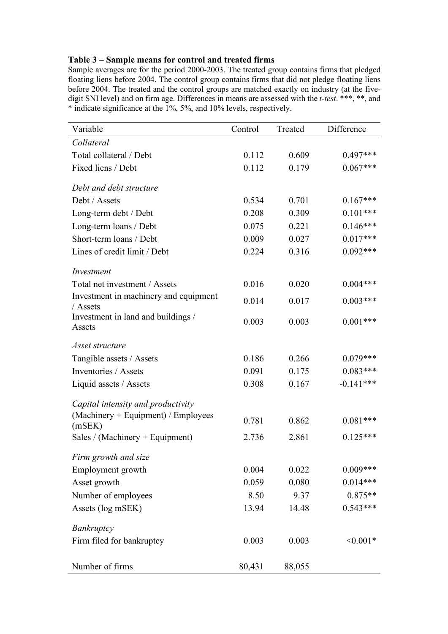### **Table 3 – Sample means for control and treated firms**

Sample averages are for the period 2000-2003. The treated group contains firms that pledged floating liens before 2004. The control group contains firms that did not pledge floating liens before 2004. The treated and the control groups are matched exactly on industry (at the fivedigit SNI level) and on firm age. Differences in means are assessed with the *t-test*. \*\*\*, \*\*, and \* indicate significance at the 1%, 5%, and 10% levels, respectively.

| Variable                                          | Control | Treated | Difference  |
|---------------------------------------------------|---------|---------|-------------|
| Collateral                                        |         |         |             |
| Total collateral / Debt                           | 0.112   | 0.609   | 0.497***    |
| Fixed liens / Debt                                | 0.112   | 0.179   | $0.067***$  |
| Debt and debt structure                           |         |         |             |
| Debt / Assets                                     | 0.534   | 0.701   | $0.167***$  |
| Long-term debt / Debt                             | 0.208   | 0.309   | $0.101***$  |
| Long-term loans / Debt                            | 0.075   | 0.221   | $0.146***$  |
| Short-term loans / Debt                           | 0.009   | 0.027   | $0.017***$  |
| Lines of credit limit / Debt                      | 0.224   | 0.316   | $0.092***$  |
| Investment                                        |         |         |             |
| Total net investment / Assets                     | 0.016   | 0.020   | $0.004***$  |
| Investment in machinery and equipment<br>/ Assets | 0.014   | 0.017   | $0.003***$  |
| Investment in land and buildings /<br>Assets      | 0.003   | 0.003   | $0.001***$  |
| Asset structure                                   |         |         |             |
| Tangible assets / Assets                          | 0.186   | 0.266   | $0.079***$  |
| Inventories / Assets                              | 0.091   | 0.175   | $0.083***$  |
| Liquid assets / Assets                            | 0.308   | 0.167   | $-0.141***$ |
| Capital intensity and productivity                |         |         |             |
| (Machinery + Equipment) / Employees<br>(mSEK)     | 0.781   | 0.862   | $0.081***$  |
| Sales / (Machinery + Equipment)                   | 2.736   | 2.861   | $0.125***$  |
| Firm growth and size                              |         |         |             |
| Employment growth                                 | 0.004   | 0.022   | $0.009***$  |
| Asset growth                                      | 0.059   | 0.080   | $0.014***$  |
| Number of employees                               | 8.50    | 9.37    | $0.875**$   |
| Assets (log mSEK)                                 | 13.94   | 14.48   | $0.543***$  |
| Bankruptcy                                        |         |         |             |
| Firm filed for bankruptcy                         | 0.003   | 0.003   | $< 0.001*$  |
| Number of firms                                   | 80,431  | 88,055  |             |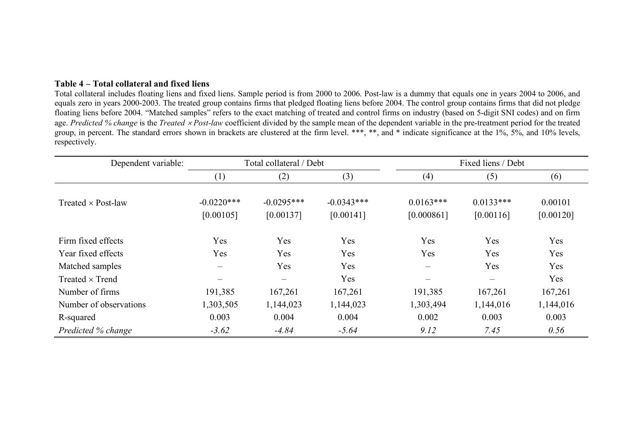#### **Table 4 – Total collateral and fixed liens**

Total collateral includes floating liens and fixed liens. Sample period is from 2000 to 2006. Post-law is a dummy that equals one in years 2004 to 2006, and equals zero in years 2000-2003. The treated group contains firms that pledged floating liens before 2004. The control group contains firms that did not pledge floating liens before 2004. "Matched samples" refers to the exact matching of treated and control firms on industry (based on 5-digit SNI codes) and on firm age. *Predicted % change* is the *Treated × Post-law* coefficient divided by the sample mean of the dependent variable in the pre-treatment period for the treated group, in percent. The standard errors shown in brackets are clustered at the firm level. \*\*\*, \*\*, and \* indicate significance at the 1%, 5%, and 10% levels, respectively.

| Dependent variable:       | Total collateral / Debt   |                           |                           | Fixed liens / Debt        |                          |                      |  |
|---------------------------|---------------------------|---------------------------|---------------------------|---------------------------|--------------------------|----------------------|--|
|                           | (1)                       | (2)                       | (3)                       | (4)                       | (5)                      | (6)                  |  |
| Treated $\times$ Post-law | $-0.0220***$<br>[0.00105] | $-0.0295***$<br>[0.00137] | $-0.0343***$<br>[0.00141] | $0.0163***$<br>[0.000861] | $0.0133***$<br>[0.00116] | 0.00101<br>[0.00120] |  |
| Firm fixed effects        | Yes                       | Yes                       | Yes                       | Yes                       | Yes                      | Yes                  |  |
| Year fixed effects        | Yes                       | Yes                       | Yes                       | Yes                       | Yes                      | Yes                  |  |
| Matched samples           |                           | Yes                       | Yes                       | $\overline{\phantom{m}}$  | Yes                      | Yes                  |  |
| Treated $\times$ Trend    |                           |                           | Yes                       |                           |                          | Yes                  |  |
| Number of firms           | 191,385                   | 167,261                   | 167,261                   | 191,385                   | 167,261                  | 167,261              |  |
| Number of observations    | 1,303,505                 | 1,144,023                 | 1,144,023                 | 1,303,494                 | 1,144,016                | 1,144,016            |  |
| R-squared                 | 0.003                     | 0.004                     | 0.004                     | 0.002                     | 0.003                    | 0.003                |  |
| Predicted % change        | $-3.62$                   | $-4.84$                   | $-5.64$                   | 9.12                      | 7.45                     | 0.56                 |  |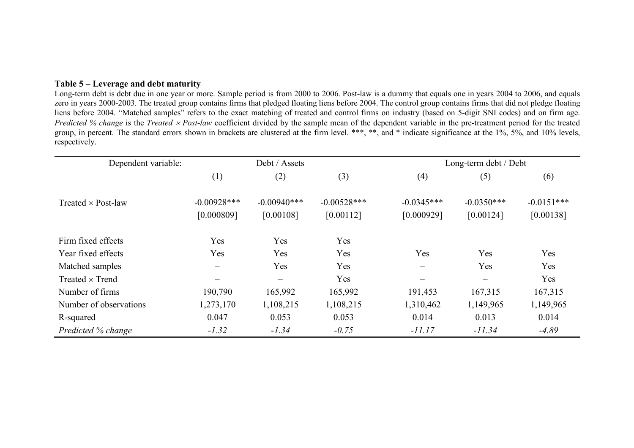#### **Table 5 – Leverage and debt maturity**

Long-term debt is debt due in one year or more. Sample period is from 2000 to 2006. Post-law is a dummy that equals one in years 2004 to 2006, and equals zero in years 2000-2003. The treated group contains firms that pledged floating liens before 2004. The control group contains firms that did not pledge floating liens before 2004. "Matched samples" refers to the exact matching of treated and control firms on industry (based on 5-digit SNI codes) and on firm age. *Predicted % change* is the *Treated × Post-law* coefficient divided by the sample mean of the dependent variable in the pre-treatment period for the treated group, in percent. The standard errors shown in brackets are clustered at the firm level. \*\*\*, \*\*, and \* indicate significance at the 1%, 5%, and 10% levels, respectively.

| Dependent variable:       |                              |                             |                            |                            | Long-term debt / Debt     |                           |
|---------------------------|------------------------------|-----------------------------|----------------------------|----------------------------|---------------------------|---------------------------|
|                           | (1)                          | (2)                         | (3)                        | (4)                        | (5)                       | (6)                       |
| Treated $\times$ Post-law | $-0.00928$ ***<br>[0.000809] | $-0.00940$ ***<br>[0.00108] | $-0.00528***$<br>[0.00112] | $-0.0345***$<br>[0.000929] | $-0.0350***$<br>[0.00124] | $-0.0151***$<br>[0.00138] |
| Firm fixed effects        | Yes                          | Yes                         | Yes                        |                            |                           |                           |
| Year fixed effects        | Yes                          | Yes                         | Yes                        | Yes                        | Yes                       | Yes                       |
| Matched samples           |                              | Yes                         | Yes                        |                            | Yes                       | Yes                       |
| Treated × Trend           |                              |                             | Yes                        |                            |                           | Yes                       |
| Number of firms           | 190,790                      | 165,992                     | 165,992                    | 191,453                    | 167,315                   | 167,315                   |
| Number of observations    | 1,273,170                    | 1,108,215                   | 1,108,215                  | 1,310,462                  | 1,149,965                 | 1,149,965                 |
| R-squared                 | 0.047                        | 0.053                       | 0.053                      | 0.014                      | 0.013                     | 0.014                     |
| Predicted % change        | $-1.32$                      | $-1.34$                     | $-0.75$                    | $-11.17$                   | $-11.34$                  | $-4.89$                   |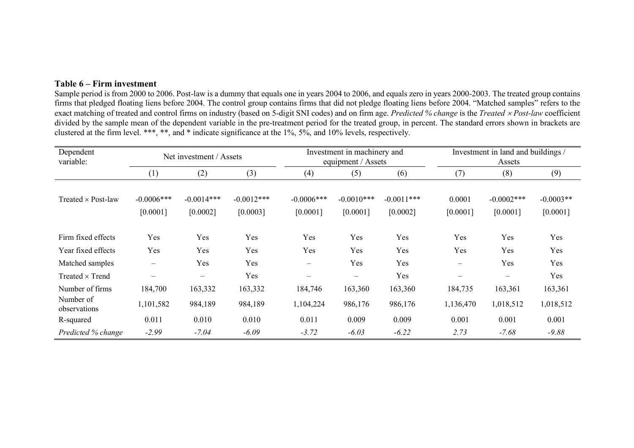## **Table 6 – Firm investment**

Sample period is from 2000 to 2006. Post-law is a dummy that equals one in years 2004 to 2006, and equals zero in years 2000-2003. The treated group contains firms that pledged floating liens before 2004. The control group contains firms that did not pledge floating liens before 2004. "Matched samples" refers to the exact matching of treated and control firms on industry (based on 5-digit SNI codes) and on firm age. *Predicted % change* is the *Treated × Post-law* coefficient divided by the sample mean of the dependent variable in the pre-treatment period for the treated group, in percent. The standard errors shown in brackets are clustered at the firm level. \*\*\*, \*\*, and \* indicate significance at the 1%, 5%, and 10% levels, respectively.

| Dependent<br>variable:    | Net investment / Assets   |                          |                          |                           | Investment in machinery and<br>equipment / Assets |                          |                          | Investment in land and buildings /<br>Assets |                         |  |
|---------------------------|---------------------------|--------------------------|--------------------------|---------------------------|---------------------------------------------------|--------------------------|--------------------------|----------------------------------------------|-------------------------|--|
|                           | (1)                       | (2)                      | (3)                      | (4)                       | (5)                                               | (6)                      | (7)                      | (8)                                          | (9)                     |  |
| Treated $\times$ Post-law | $-0.0006$ ***<br>[0.0001] | $-0.0014***$<br>[0.0002] | $-0.0012***$<br>[0.0003] | $-0.0006$ ***<br>[0.0001] | $-0.0010***$<br>[0.0001]                          | $-0.0011***$<br>[0.0002] | 0.0001<br>[0.0001]       | $-0.0002$ ***<br>[0.0001]                    | $-0.0003**$<br>[0.0001] |  |
| Firm fixed effects        | Yes                       | Yes                      | Yes                      | Yes                       | Yes                                               | Yes                      | Yes                      | Yes                                          | Yes                     |  |
| Year fixed effects        | Yes                       | Yes                      | Yes                      | Yes                       | Yes                                               | Yes                      | Yes                      | Yes                                          | Yes                     |  |
| Matched samples           | —                         | Yes                      | Yes                      | $\qquad \qquad -$         | Yes                                               | Yes                      | $\overline{\phantom{m}}$ | Yes                                          | Yes                     |  |
| Treated × Trend           |                           | $\overline{\phantom{0}}$ | Yes                      | $\overline{\phantom{0}}$  | $\overline{\phantom{0}}$                          | Yes                      |                          | $\overline{\phantom{0}}$                     | Yes                     |  |
| Number of firms           | 184,700                   | 163,332                  | 163,332                  | 184,746                   | 163,360                                           | 163,360                  | 184,735                  | 163,361                                      | 163,361                 |  |
| Number of<br>observations | 1,101,582                 | 984,189                  | 984,189                  | 1,104,224                 | 986,176                                           | 986,176                  | 1,136,470                | 1,018,512                                    | 1,018,512               |  |
| R-squared                 | 0.011                     | 0.010                    | 0.010                    | 0.011                     | 0.009                                             | 0.009                    | 0.001                    | 0.001                                        | 0.001                   |  |
| Predicted % change        | $-2.99$                   | $-7.04$                  | $-6.09$                  | $-3.72$                   | $-6.03$                                           | $-6.22$                  | 2.73                     | $-7.68$                                      | $-9.88$                 |  |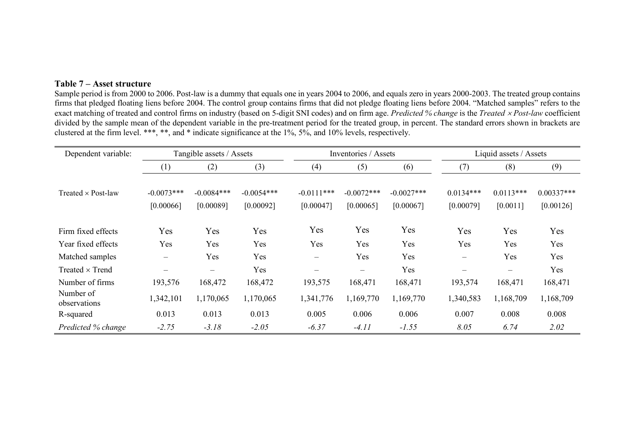#### **Table 7 – Asset structure**

Sample period is from 2000 to 2006. Post-law is a dummy that equals one in years 2004 to 2006, and equals zero in years 2000-2003. The treated group contains firms that pledged floating liens before 2004. The control group contains firms that did not pledge floating liens before 2004. "Matched samples" refers to the exact matching of treated and control firms on industry (based on 5-digit SNI codes) and on firm age. *Predicted % change* is the *Treated × Post-law* coefficient divided by the sample mean of the dependent variable in the pre-treatment period for the treated group, in percent. The standard errors shown in brackets are clustered at the firm level. \*\*\*, \*\*, and \* indicate significance at the 1%, 5%, and 10% levels, respectively.

| Dependent variable:       | Tangible assets / Assets  |                           |                           |                           | Inventories / Assets      |                           | Liquid assets / Assets   |                         |                           |
|---------------------------|---------------------------|---------------------------|---------------------------|---------------------------|---------------------------|---------------------------|--------------------------|-------------------------|---------------------------|
|                           | (1)                       | (2)                       | (3)                       | (4)                       | (5)                       | (6)                       | (7)                      | (8)                     | (9)                       |
| Treated $\times$ Post-law | $-0.0073***$<br>[0.00066] | $-0.0084***$<br>[0.00089] | $-0.0054***$<br>[0.00092] | $-0.0111***$<br>[0.00047] | $-0.0072***$<br>[0.00065] | $-0.0027***$<br>[0.00067] | $0.0134***$<br>[0.00079] | $0.0113***$<br>[0.0011] | $0.00337***$<br>[0.00126] |
| Firm fixed effects        | Yes                       | Yes                       | Yes                       | Yes                       | Yes                       | Yes                       | Yes                      | Yes                     | Yes                       |
| Year fixed effects        | Yes                       | Yes                       | Yes                       | Yes                       | Yes                       | Yes                       | Yes                      | Yes                     | Yes                       |
| Matched samples           | $\overline{\phantom{m}}$  | Yes                       | Yes                       | —                         | Yes                       | Yes                       | $\qquad \qquad -$        | Yes                     | Yes                       |
| Treated $\times$ Trend    | $\overline{\phantom{0}}$  | $\qquad \qquad -$         | Yes                       | $\overline{\phantom{0}}$  | $\qquad \qquad -$         | Yes                       | $\qquad \qquad -$        |                         | Yes                       |
| Number of firms           | 193,576                   | 168,472                   | 168,472                   | 193,575                   | 168,471                   | 168,471                   | 193,574                  | 168,471                 | 168,471                   |
| Number of<br>observations | 1,342,101                 | 1,170,065                 | 1,170,065                 | 1,341,776                 | 1,169,770                 | 1,169,770                 | 1,340,583                | 1,168,709               | 1,168,709                 |
| R-squared                 | 0.013                     | 0.013                     | 0.013                     | 0.005                     | 0.006                     | 0.006                     | 0.007                    | 0.008                   | 0.008                     |
| Predicted % change        | $-2.75$                   | $-3.18$                   | $-2.05$                   | $-6.37$                   | $-4.11$                   | $-1.55$                   | 8.05                     | 6.74                    | 2.02                      |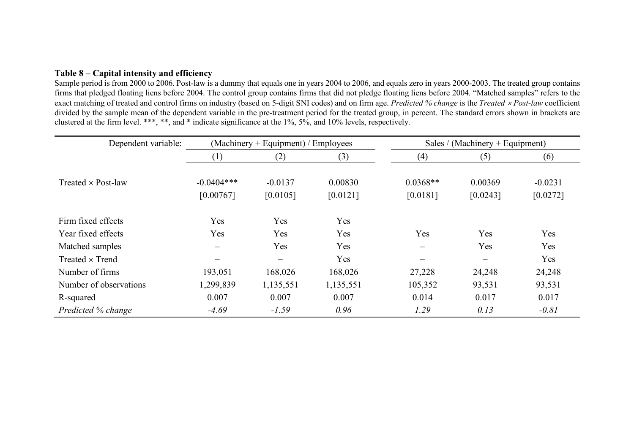#### **Table 8 – Capital intensity and efficiency**

Sample period is from 2000 to 2006. Post-law is a dummy that equals one in years 2004 to 2006, and equals zero in years 2000-2003. The treated group contains firms that pledged floating liens before 2004. The control group contains firms that did not pledge floating liens before 2004. "Matched samples" refers to the exact matching of treated and control firms on industry (based on 5-digit SNI codes) and on firm age. *Predicted % change* is the *Treated × Post-law* coefficient divided by the sample mean of the dependent variable in the pre-treatment period for the treated group, in percent. The standard errors shown in brackets are clustered at the firm level. \*\*\*, \*\*, and \* indicate significance at the 1%, 5%, and 10% levels, respectively.

| Dependent variable:       | $(Machinery + Equipment) / Employes$ |                          |           |  |                          | Sales / (Machinery + Equipment) |           |
|---------------------------|--------------------------------------|--------------------------|-----------|--|--------------------------|---------------------------------|-----------|
|                           | (1)                                  | (2)                      | (3)       |  | (4)                      | (5)                             | (6)       |
|                           |                                      |                          |           |  |                          |                                 |           |
| Treated $\times$ Post-law | $-0.0404***$                         | $-0.0137$                | 0.00830   |  | $0.0368**$               | 0.00369                         | $-0.0231$ |
|                           | [0.00767]                            | [0.0105]                 | [0.0121]  |  | [0.0181]                 | [0.0243]                        | [0.0272]  |
|                           |                                      |                          |           |  |                          |                                 |           |
| Firm fixed effects        | Yes                                  | Yes                      | Yes       |  |                          |                                 |           |
| Year fixed effects        | Yes                                  | Yes                      | Yes       |  | Yes                      | Yes                             | Yes       |
| Matched samples           |                                      | Yes                      | Yes       |  |                          | Yes                             | Yes       |
| Treated × Trend           | —                                    | $\overline{\phantom{0}}$ | Yes       |  | $\overline{\phantom{0}}$ |                                 | Yes       |
| Number of firms           | 193,051                              | 168,026                  | 168,026   |  | 27,228                   | 24,248                          | 24,248    |
| Number of observations    | 1,299,839                            | 1,135,551                | 1,135,551 |  | 105,352                  | 93,531                          | 93,531    |
| R-squared                 | 0.007                                | 0.007                    | 0.007     |  | 0.014                    | 0.017                           | 0.017     |
| Predicted % change        | $-4.69$                              | $-1.59$                  | 0.96      |  | 1.29                     | 0.13                            | $-0.81$   |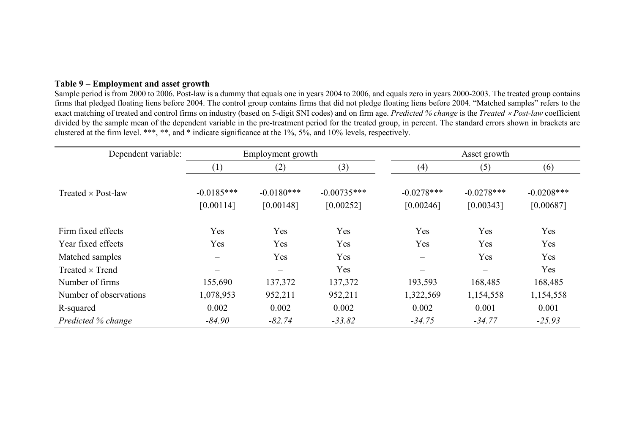#### **Table 9 – Employment and asset growth**

Sample period is from 2000 to 2006. Post-law is a dummy that equals one in years 2004 to 2006, and equals zero in years 2000-2003. The treated group contains firms that pledged floating liens before 2004. The control group contains firms that did not pledge floating liens before 2004. "Matched samples" refers to the exact matching of treated and control firms on industry (based on 5-digit SNI codes) and on firm age. *Predicted % change* is the *Treated × Post-law* coefficient divided by the sample mean of the dependent variable in the pre-treatment period for the treated group, in percent. The standard errors shown in brackets are clustered at the firm level. \*\*\*, \*\*, and \* indicate significance at the 1%, 5%, and 10% levels, respectively.

| Dependent variable:       |                           | Employment growth         |                            |                                | Asset growth              |                            |
|---------------------------|---------------------------|---------------------------|----------------------------|--------------------------------|---------------------------|----------------------------|
|                           | $\left( 1\right)$         | (2)                       | (3)                        | (4)                            | (5)                       | (6)                        |
| Treated $\times$ Post-law | $-0.0185***$<br>[0.00114] | $-0.0180***$<br>[0.00148] | $-0.00735***$<br>[0.00252] | $-0.0278***$<br>[0.00246]      | $-0.0278***$<br>[0.00343] | $-0.0208$ ***<br>[0.00687] |
| Firm fixed effects        | Yes                       | Yes                       | Yes                        | Yes                            | Yes                       | Yes                        |
| Year fixed effects        | Yes                       | Yes                       | Yes                        | Yes                            | Yes                       | Yes                        |
| Matched samples           | $\qquad \qquad$           | Yes                       | Yes                        | $\qquad \qquad \longleftarrow$ | Yes                       | Yes                        |
| Treated $\times$ Trend    | —                         | —                         | Yes                        | $\qquad \qquad \longleftarrow$ |                           | Yes                        |
| Number of firms           | 155,690                   | 137,372                   | 137,372                    | 193,593                        | 168,485                   | 168,485                    |
| Number of observations    | 1,078,953                 | 952,211                   | 952,211                    | 1,322,569                      | 1,154,558                 | 1,154,558                  |
| R-squared                 | 0.002                     | 0.002                     | 0.002                      | 0.002                          | 0.001                     | 0.001                      |
| Predicted % change        | $-84.90$                  | $-82.74$                  | $-33.82$                   | $-34.75$                       | $-34.77$                  | $-25.93$                   |